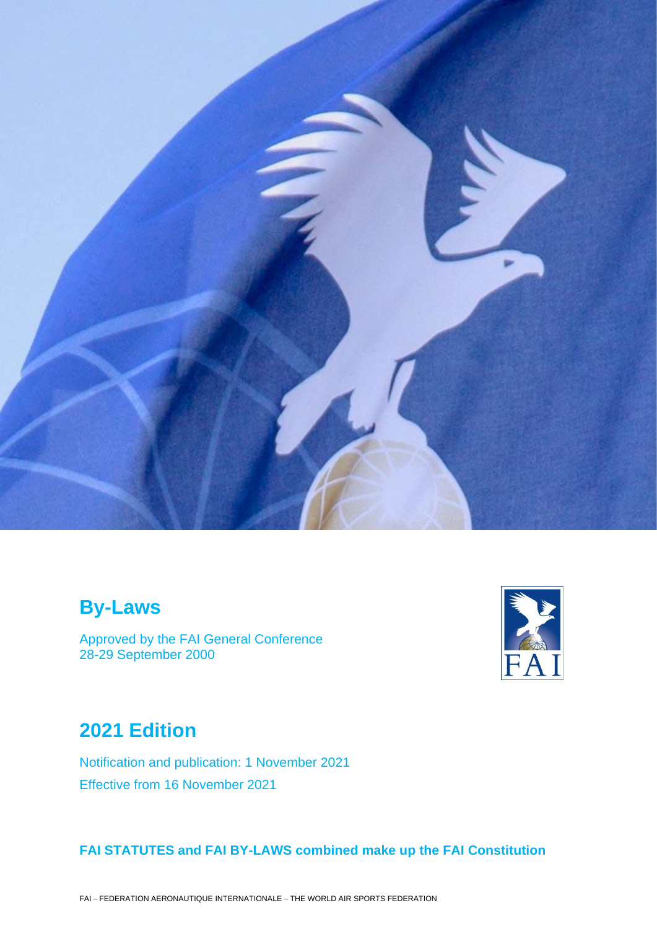

# **By-Laws**

Approved by the FAI General Conference 28-29 September 2000



# **2021 Edition**

Notification and publication: 1 November 2021 Effective from 16 November 2021

# **FAI STATUTES and FAI BY-LAWS combined make up the FAI Constitution**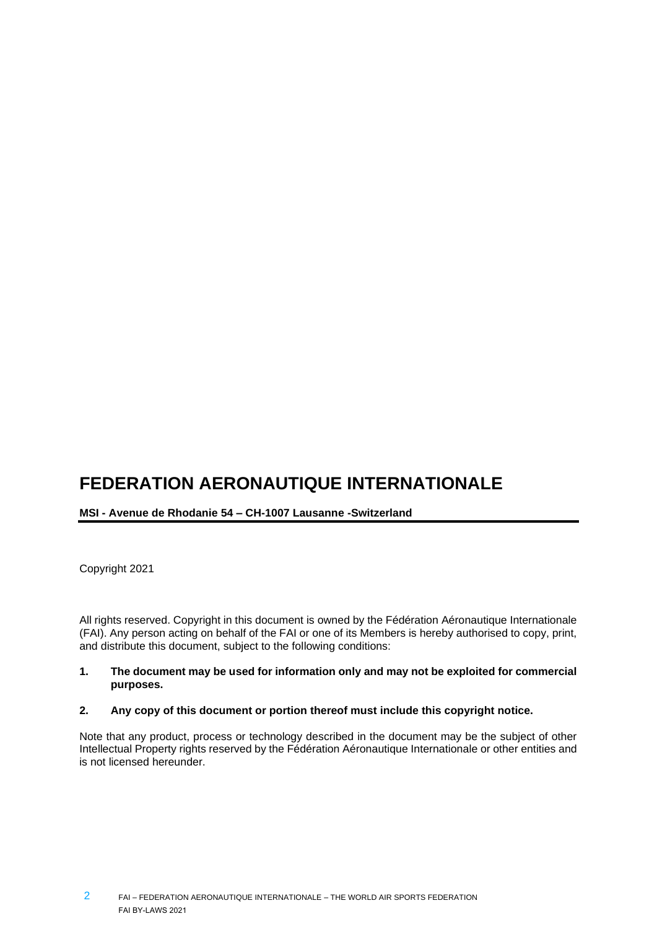# **FEDERATION AERONAUTIQUE INTERNATIONALE**

# **MSI - Avenue de Rhodanie 54 – CH-1007 Lausanne -Switzerland**

Copyright 2021

All rights reserved. Copyright in this document is owned by the Fédération Aéronautique Internationale (FAI). Any person acting on behalf of the FAI or one of its Members is hereby authorised to copy, print, and distribute this document, subject to the following conditions:

#### **1. The document may be used for information only and may not be exploited for commercial purposes.**

## **2. Any copy of this document or portion thereof must include this copyright notice.**

Note that any product, process or technology described in the document may be the subject of other Intellectual Property rights reserved by the Fédération Aéronautique Internationale or other entities and is not licensed hereunder.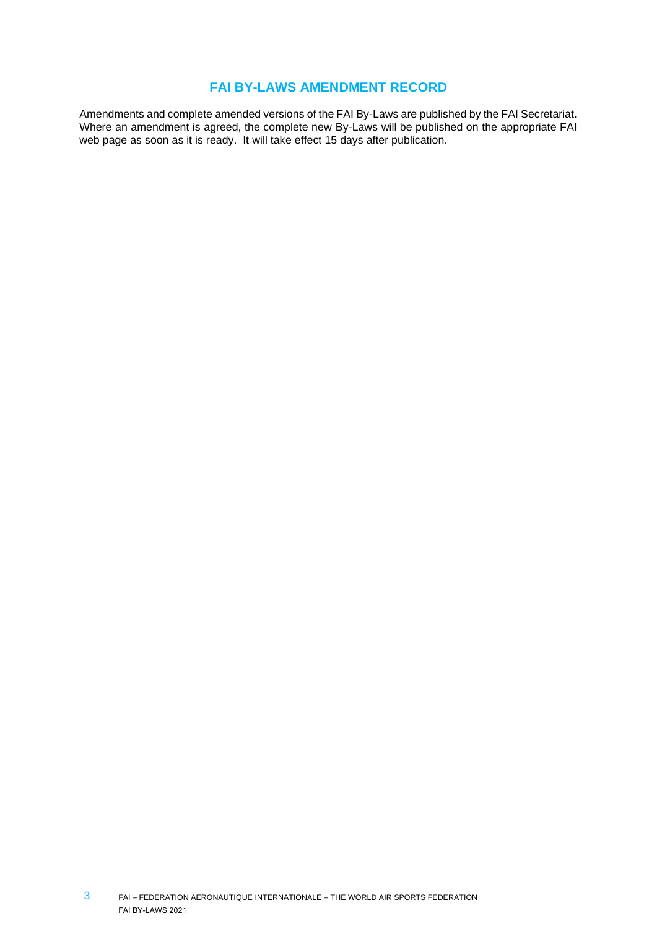# **FAI BY-LAWS AMENDMENT RECORD**

Amendments and complete amended versions of the FAI By-Laws are published by the FAI Secretariat. Where an amendment is agreed, the complete new By-Laws will be published on the appropriate FAI web page as soon as it is ready. It will take effect 15 days after publication.

FAI – FEDERATION AERONAUTIQUE INTERNATIONALE – THE WORLD AIR SPORTS FEDERATION FAI BY-LAWS 2021 3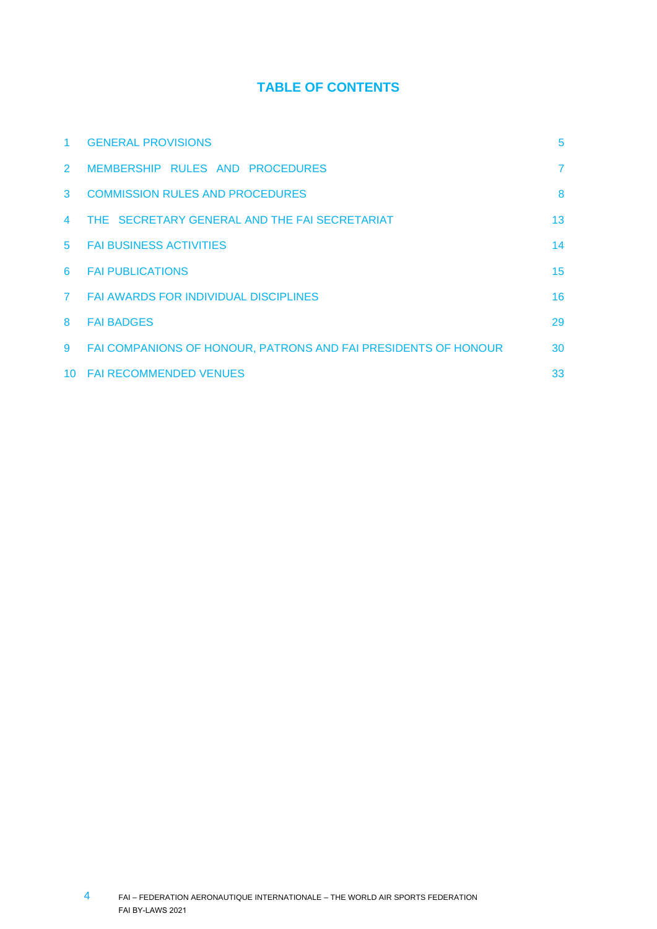# **TABLE OF CONTENTS**

| 1.                   | <b>GENERAL PROVISIONS</b>                                      | 5              |
|----------------------|----------------------------------------------------------------|----------------|
| $\mathbf{2}^{\circ}$ | MEMBERSHIP RULES AND PROCEDURES                                | $\overline{7}$ |
| 3                    | <b>COMMISSION RULES AND PROCEDURES</b>                         | 8              |
| 4                    | THE SECRETARY GENERAL AND THE FAI SECRETARIAT                  | 13             |
| $5^{\circ}$          | <b>FAI BUSINESS ACTIVITIES</b>                                 | 14             |
| 6                    | <b>FAI PUBLICATIONS</b>                                        | 15             |
| $\mathbf{7}$         | <b>FAI AWARDS FOR INDIVIDUAL DISCIPLINES</b>                   | 16             |
| 8                    | <b>FAI BADGES</b>                                              | 29             |
| 9                    | FAI COMPANIONS OF HONOUR, PATRONS AND FAI PRESIDENTS OF HONOUR | 30             |
| 10                   | <b>FAI RECOMMENDED VENUES</b>                                  | 33             |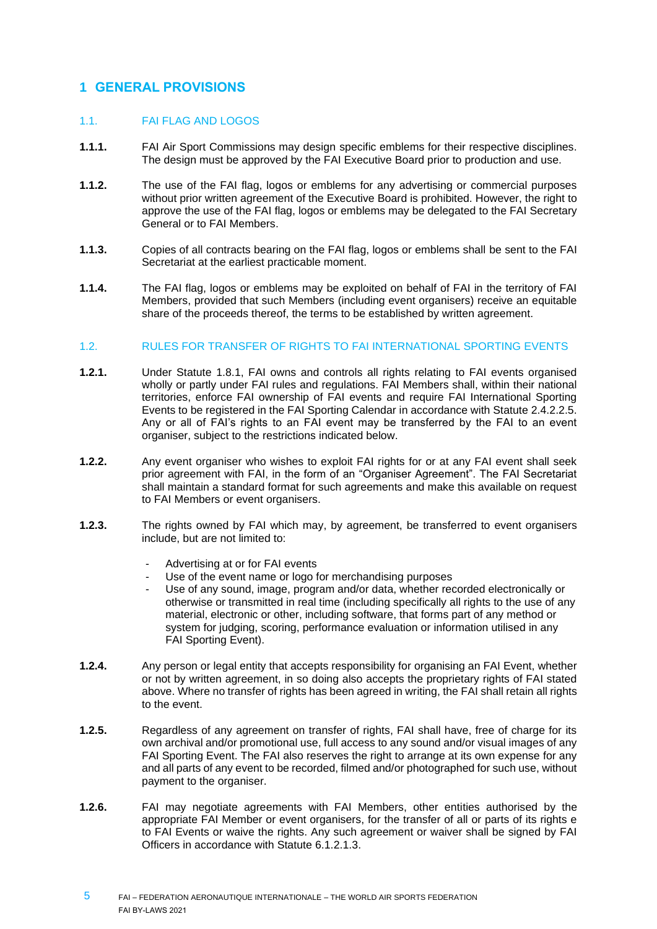# <span id="page-4-0"></span>**1 GENERAL PROVISIONS**

# 1.1. FAI FLAG AND LOGOS

- **1.1.1.** FAI Air Sport Commissions may design specific emblems for their respective disciplines. The design must be approved by the FAI Executive Board prior to production and use.
- **1.1.2.** The use of the FAI flag, logos or emblems for any advertising or commercial purposes without prior written agreement of the Executive Board is prohibited. However, the right to approve the use of the FAI flag, logos or emblems may be delegated to the FAI Secretary General or to FAI Members.
- **1.1.3.** Copies of all contracts bearing on the FAI flag, logos or emblems shall be sent to the FAI Secretariat at the earliest practicable moment.
- **1.1.4.** The FAI flag, logos or emblems may be exploited on behalf of FAI in the territory of FAI Members, provided that such Members (including event organisers) receive an equitable share of the proceeds thereof, the terms to be established by written agreement.

# 1.2. RULES FOR TRANSFER OF RIGHTS TO FAI INTERNATIONAL SPORTING EVENTS

- **1.2.1.** Under Statute 1.8.1, FAI owns and controls all rights relating to FAI events organised wholly or partly under FAI rules and regulations. FAI Members shall, within their national territories, enforce FAI ownership of FAI events and require FAI International Sporting Events to be registered in the FAI Sporting Calendar in accordance with Statute 2.4.2.2.5. Any or all of FAI's rights to an FAI event may be transferred by the FAI to an event organiser, subject to the restrictions indicated below.
- **1.2.2.** Any event organiser who wishes to exploit FAI rights for or at any FAI event shall seek prior agreement with FAI, in the form of an "Organiser Agreement". The FAI Secretariat shall maintain a standard format for such agreements and make this available on request to FAI Members or event organisers.
- **1.2.3.** The rights owned by FAI which may, by agreement, be transferred to event organisers include, but are not limited to:
	- Advertising at or for FAI events
	- Use of the event name or logo for merchandising purposes
	- Use of any sound, image, program and/or data, whether recorded electronically or otherwise or transmitted in real time (including specifically all rights to the use of any material, electronic or other, including software, that forms part of any method or system for judging, scoring, performance evaluation or information utilised in any FAI Sporting Event).
- **1.2.4.** Any person or legal entity that accepts responsibility for organising an FAI Event, whether or not by written agreement, in so doing also accepts the proprietary rights of FAI stated above. Where no transfer of rights has been agreed in writing, the FAI shall retain all rights to the event.
- **1.2.5.** Regardless of any agreement on transfer of rights, FAI shall have, free of charge for its own archival and/or promotional use, full access to any sound and/or visual images of any FAI Sporting Event. The FAI also reserves the right to arrange at its own expense for any and all parts of any event to be recorded, filmed and/or photographed for such use, without payment to the organiser.
- **1.2.6.** FAI may negotiate agreements with FAI Members, other entities authorised by the appropriate FAI Member or event organisers, for the transfer of all or parts of its rights e to FAI Events or waive the rights. Any such agreement or waiver shall be signed by FAI Officers in accordance with Statute 6.1.2.1.3.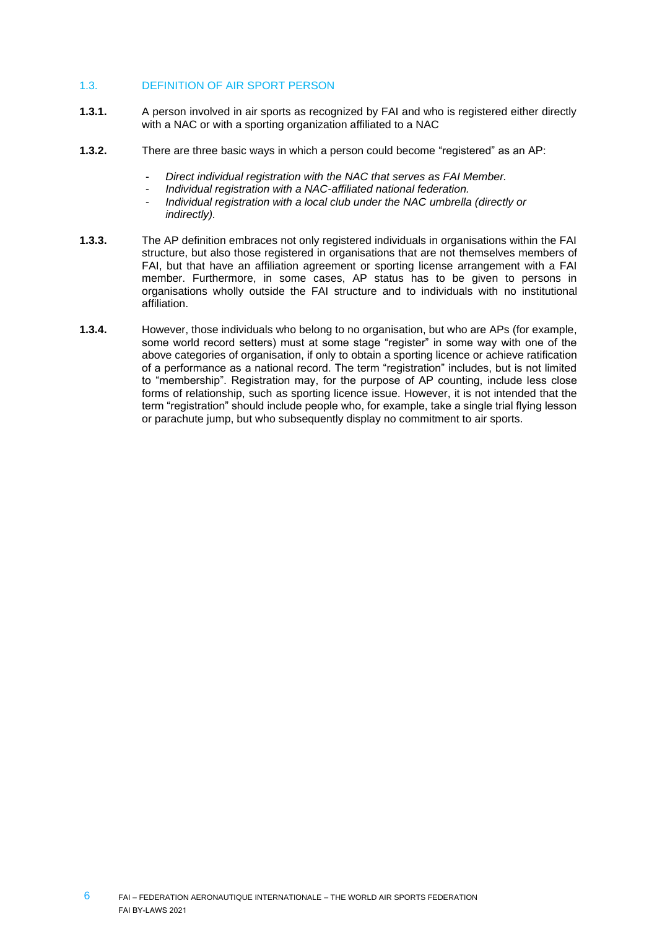# 1.3. DEFINITION OF AIR SPORT PERSON

- **1.3.1.** A person involved in air sports as recognized by FAI and who is registered either directly with a NAC or with a sporting organization affiliated to a NAC
- **1.3.2.** There are three basic ways in which a person could become "registered" as an AP:
	- *Direct individual registration with the NAC that serves as FAI Member.*
	- *Individual registration with a NAC-affiliated national federation.*
	- *Individual registration with a local club under the NAC umbrella (directly or indirectly).*
- **1.3.3.** The AP definition embraces not only registered individuals in organisations within the FAI structure, but also those registered in organisations that are not themselves members of FAI, but that have an affiliation agreement or sporting license arrangement with a FAI member. Furthermore, in some cases, AP status has to be given to persons in organisations wholly outside the FAI structure and to individuals with no institutional affiliation.
- **1.3.4.** However, those individuals who belong to no organisation, but who are APs (for example, some world record setters) must at some stage "register" in some way with one of the above categories of organisation, if only to obtain a sporting licence or achieve ratification of a performance as a national record. The term "registration" includes, but is not limited to "membership". Registration may, for the purpose of AP counting, include less close forms of relationship, such as sporting licence issue. However, it is not intended that the term "registration" should include people who, for example, take a single trial flying lesson or parachute jump, but who subsequently display no commitment to air sports.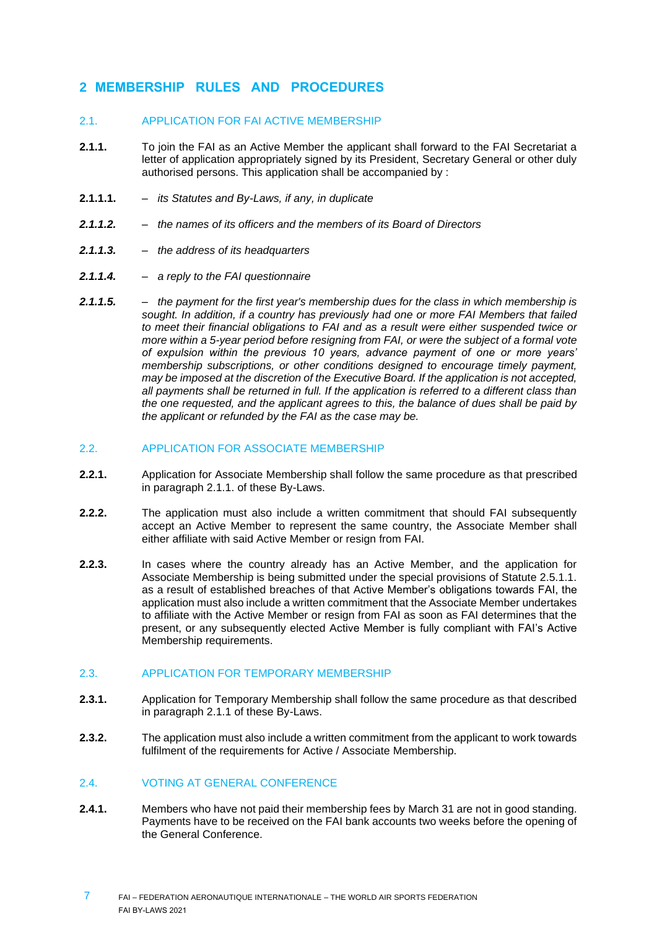# <span id="page-6-0"></span>**2 MEMBERSHIP RULES AND PROCEDURES**

#### 2.1. APPLICATION FOR FAI ACTIVE MEMBERSHIP

- **2.1.1.** To join the FAI as an Active Member the applicant shall forward to the FAI Secretariat a letter of application appropriately signed by its President, Secretary General or other duly authorised persons. This application shall be accompanied by :
- **2.1.1.1.** *its Statutes and By-Laws, if any, in duplicate*
- *2.1.1.2. – the names of its officers and the members of its Board of Directors*
- *2.1.1.3. – the address of its headquarters*
- *2.1.1.4. – a reply to the FAI questionnaire*
- *2.1.1.5. – the payment for the first year's membership dues for the class in which membership is sought. In addition, if a country has previously had one or more FAI Members that failed to meet their financial obligations to FAI and as a result were either suspended twice or more within a 5-year period before resigning from FAI, or were the subject of a formal vote of expulsion within the previous 10 years, advance payment of one or more years' membership subscriptions, or other conditions designed to encourage timely payment, may be imposed at the discretion of the Executive Board. If the application is not accepted, all payments shall be returned in full. If the application is referred to a different class than the one requested, and the applicant agrees to this, the balance of dues shall be paid by the applicant or refunded by the FAI as the case may be.*

# 2.2. APPLICATION FOR ASSOCIATE MEMBERSHIP

- **2.2.1.** Application for Associate Membership shall follow the same procedure as that prescribed in paragraph 2.1.1. of these By-Laws.
- **2.2.2.** The application must also include a written commitment that should FAI subsequently accept an Active Member to represent the same country, the Associate Member shall either affiliate with said Active Member or resign from FAI.
- **2.2.3.** In cases where the country already has an Active Member, and the application for Associate Membership is being submitted under the special provisions of Statute 2.5.1.1. as a result of established breaches of that Active Member's obligations towards FAI, the application must also include a written commitment that the Associate Member undertakes to affiliate with the Active Member or resign from FAI as soon as FAI determines that the present, or any subsequently elected Active Member is fully compliant with FAI's Active Membership requirements.

# 2.3. APPLICATION FOR TEMPORARY MEMBERSHIP

- **2.3.1.** Application for Temporary Membership shall follow the same procedure as that described in paragraph 2.1.1 of these By-Laws.
- **2.3.2.** The application must also include a written commitment from the applicant to work towards fulfilment of the requirements for Active / Associate Membership.

# 2.4. VOTING AT GENERAL CONFERENCE

**2.4.1.** Members who have not paid their membership fees by March 31 are not in good standing. Payments have to be received on the FAI bank accounts two weeks before the opening of the General Conference.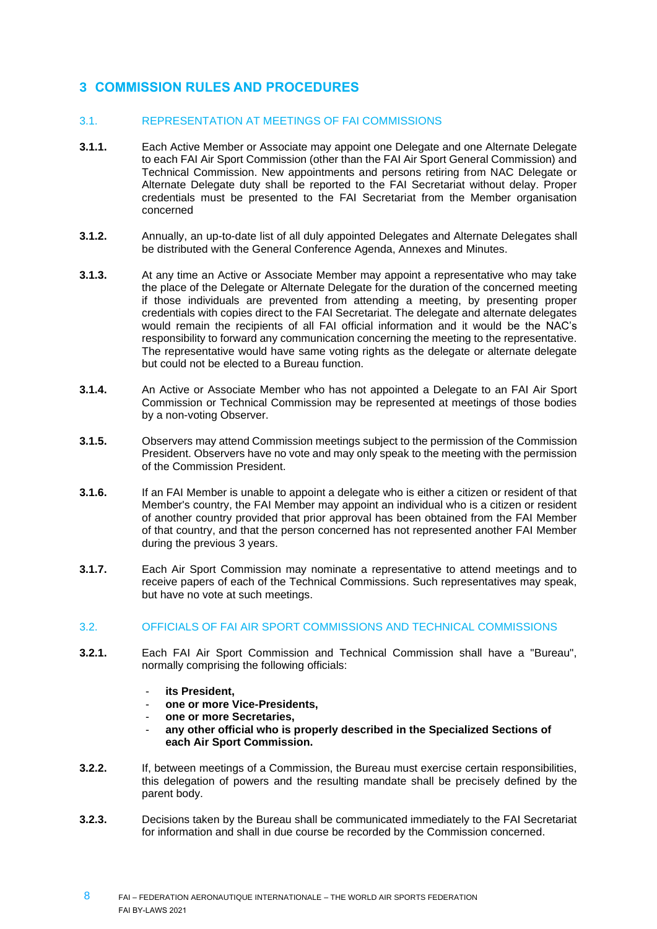# <span id="page-7-0"></span>**3 COMMISSION RULES AND PROCEDURES**

# 3.1. REPRESENTATION AT MEETINGS OF FAI COMMISSIONS

- **3.1.1.** Each Active Member or Associate may appoint one Delegate and one Alternate Delegate to each FAI Air Sport Commission (other than the FAI Air Sport General Commission) and Technical Commission. New appointments and persons retiring from NAC Delegate or Alternate Delegate duty shall be reported to the FAI Secretariat without delay. Proper credentials must be presented to the FAI Secretariat from the Member organisation concerned
- **3.1.2.** Annually, an up-to-date list of all duly appointed Delegates and Alternate Delegates shall be distributed with the General Conference Agenda, Annexes and Minutes.
- **3.1.3.** At any time an Active or Associate Member may appoint a representative who may take the place of the Delegate or Alternate Delegate for the duration of the concerned meeting if those individuals are prevented from attending a meeting, by presenting proper credentials with copies direct to the FAI Secretariat. The delegate and alternate delegates would remain the recipients of all FAI official information and it would be the NAC's responsibility to forward any communication concerning the meeting to the representative. The representative would have same voting rights as the delegate or alternate delegate but could not be elected to a Bureau function.
- **3.1.4.** An Active or Associate Member who has not appointed a Delegate to an FAI Air Sport Commission or Technical Commission may be represented at meetings of those bodies by a non-voting Observer.
- **3.1.5.** Observers may attend Commission meetings subject to the permission of the Commission President. Observers have no vote and may only speak to the meeting with the permission of the Commission President.
- **3.1.6.** If an FAI Member is unable to appoint a delegate who is either a citizen or resident of that Member's country, the FAI Member may appoint an individual who is a citizen or resident of another country provided that prior approval has been obtained from the FAI Member of that country, and that the person concerned has not represented another FAI Member during the previous 3 years.
- **3.1.7.** Each Air Sport Commission may nominate a representative to attend meetings and to receive papers of each of the Technical Commissions. Such representatives may speak, but have no vote at such meetings.

#### 3.2. OFFICIALS OF FAI AIR SPORT COMMISSIONS AND TECHNICAL COMMISSIONS

- **3.2.1.** Each FAI Air Sport Commission and Technical Commission shall have a "Bureau", normally comprising the following officials:
	- **its President,**
	- **one or more Vice-Presidents,**
	- **one or more Secretaries,**
	- any other official who is properly described in the Specialized Sections of **each Air Sport Commission.**
- **3.2.2.** If, between meetings of a Commission, the Bureau must exercise certain responsibilities, this delegation of powers and the resulting mandate shall be precisely defined by the parent body.
- **3.2.3.** Decisions taken by the Bureau shall be communicated immediately to the FAI Secretariat for information and shall in due course be recorded by the Commission concerned.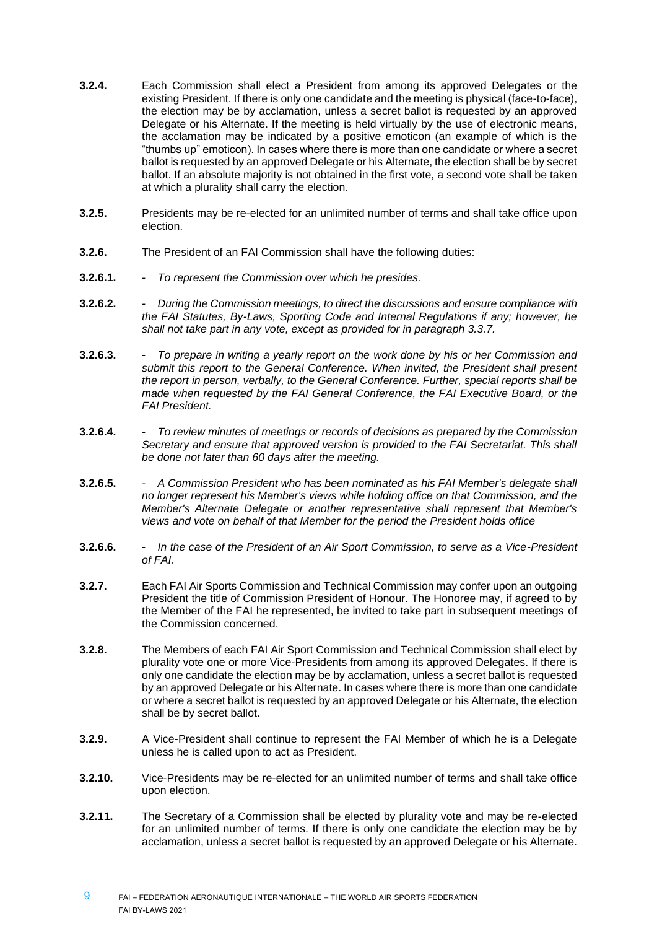- **3.2.4.** Each Commission shall elect a President from among its approved Delegates or the existing President. If there is only one candidate and the meeting is physical (face-to-face), the election may be by acclamation, unless a secret ballot is requested by an approved Delegate or his Alternate. If the meeting is held virtually by the use of electronic means, the acclamation may be indicated by a positive emoticon (an example of which is the "thumbs up" emoticon). In cases where there is more than one candidate or where a secret ballot is requested by an approved Delegate or his Alternate, the election shall be by secret ballot. If an absolute majority is not obtained in the first vote, a second vote shall be taken at which a plurality shall carry the election.
- **3.2.5.** Presidents may be re-elected for an unlimited number of terms and shall take office upon election.
- **3.2.6.** The President of an FAI Commission shall have the following duties:
- **3.2.6.1.** *- To represent the Commission over which he presides.*
- **3.2.6.2.** *- During the Commission meetings, to direct the discussions and ensure compliance with the FAI Statutes, By-Laws, Sporting Code and Internal Regulations if any; however, he shall not take part in any vote, except as provided for in paragraph 3.3.7.*
- **3.2.6.3.** *- To prepare in writing a yearly report on the work done by his or her Commission and submit this report to the General Conference. When invited, the President shall present the report in person, verbally, to the General Conference. Further, special reports shall be made when requested by the FAI General Conference, the FAI Executive Board, or the FAI President.*
- **3.2.6.4.** *- To review minutes of meetings or records of decisions as prepared by the Commission Secretary and ensure that approved version is provided to the FAI Secretariat. This shall be done not later than 60 days after the meeting.*
- **3.2.6.5.** *- A Commission President who has been nominated as his FAI Member's delegate shall no longer represent his Member's views while holding office on that Commission, and the Member's Alternate Delegate or another representative shall represent that Member's views and vote on behalf of that Member for the period the President holds office*
- **3.2.6.6.** *- In the case of the President of an Air Sport Commission, to serve as a Vice-President of FAI.*
- **3.2.7.** Each FAI Air Sports Commission and Technical Commission may confer upon an outgoing President the title of Commission President of Honour. The Honoree may, if agreed to by the Member of the FAI he represented, be invited to take part in subsequent meetings of the Commission concerned.
- **3.2.8.** The Members of each FAI Air Sport Commission and Technical Commission shall elect by plurality vote one or more Vice-Presidents from among its approved Delegates. If there is only one candidate the election may be by acclamation, unless a secret ballot is requested by an approved Delegate or his Alternate. In cases where there is more than one candidate or where a secret ballot is requested by an approved Delegate or his Alternate, the election shall be by secret ballot.
- **3.2.9.** A Vice-President shall continue to represent the FAI Member of which he is a Delegate unless he is called upon to act as President.
- **3.2.10.** Vice-Presidents may be re-elected for an unlimited number of terms and shall take office upon election.
- **3.2.11.** The Secretary of a Commission shall be elected by plurality vote and may be re-elected for an unlimited number of terms. If there is only one candidate the election may be by acclamation, unless a secret ballot is requested by an approved Delegate or his Alternate.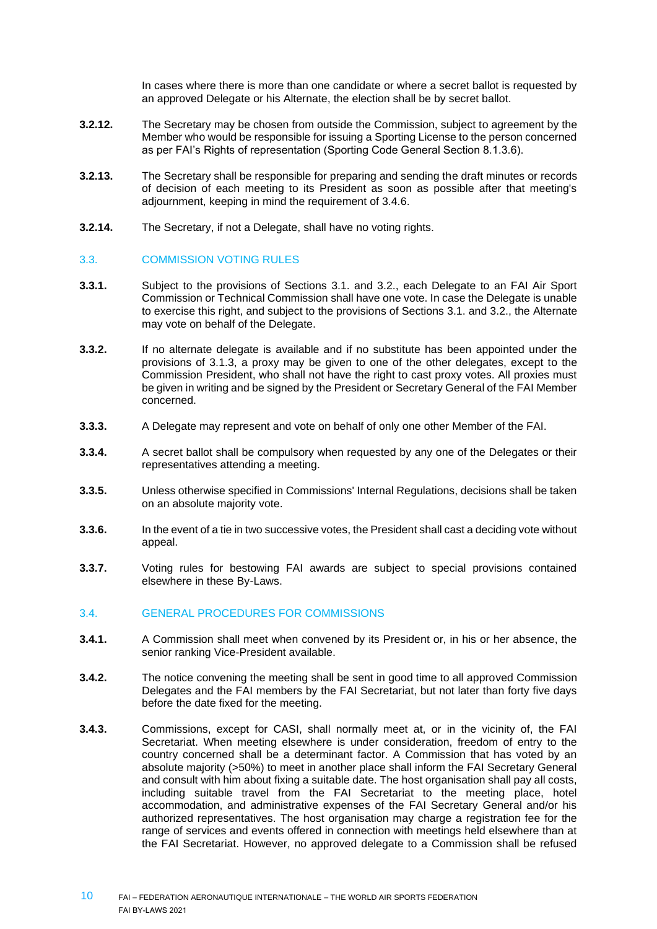In cases where there is more than one candidate or where a secret ballot is requested by an approved Delegate or his Alternate, the election shall be by secret ballot.

- **3.2.12.** The Secretary may be chosen from outside the Commission, subject to agreement by the Member who would be responsible for issuing a Sporting License to the person concerned as per FAI's Rights of representation (Sporting Code General Section 8.1.3.6).
- **3.2.13.** The Secretary shall be responsible for preparing and sending the draft minutes or records of decision of each meeting to its President as soon as possible after that meeting's adjournment, keeping in mind the requirement of 3.4.6.
- **3.2.14.** The Secretary, if not a Delegate, shall have no voting rights.

# 3.3. COMMISSION VOTING RULES

- **3.3.1.** Subject to the provisions of Sections 3.1. and 3.2., each Delegate to an FAI Air Sport Commission or Technical Commission shall have one vote. In case the Delegate is unable to exercise this right, and subject to the provisions of Sections 3.1. and 3.2., the Alternate may vote on behalf of the Delegate.
- **3.3.2.** If no alternate delegate is available and if no substitute has been appointed under the provisions of 3.1.3, a proxy may be given to one of the other delegates, except to the Commission President, who shall not have the right to cast proxy votes. All proxies must be given in writing and be signed by the President or Secretary General of the FAI Member concerned.
- **3.3.3.** A Delegate may represent and vote on behalf of only one other Member of the FAI.
- **3.3.4.** A secret ballot shall be compulsory when requested by any one of the Delegates or their representatives attending a meeting.
- **3.3.5.** Unless otherwise specified in Commissions' Internal Regulations, decisions shall be taken on an absolute majority vote.
- **3.3.6.** In the event of a tie in two successive votes, the President shall cast a deciding vote without appeal.
- **3.3.7.** Voting rules for bestowing FAI awards are subject to special provisions contained elsewhere in these By-Laws.

# 3.4. GENERAL PROCEDURES FOR COMMISSIONS

- **3.4.1.** A Commission shall meet when convened by its President or, in his or her absence, the senior ranking Vice-President available.
- **3.4.2.** The notice convening the meeting shall be sent in good time to all approved Commission Delegates and the FAI members by the FAI Secretariat, but not later than forty five days before the date fixed for the meeting.
- **3.4.3.** Commissions, except for CASI, shall normally meet at, or in the vicinity of, the FAI Secretariat. When meeting elsewhere is under consideration, freedom of entry to the country concerned shall be a determinant factor. A Commission that has voted by an absolute majority (>50%) to meet in another place shall inform the FAI Secretary General and consult with him about fixing a suitable date. The host organisation shall pay all costs, including suitable travel from the FAI Secretariat to the meeting place, hotel accommodation, and administrative expenses of the FAI Secretary General and/or his authorized representatives. The host organisation may charge a registration fee for the range of services and events offered in connection with meetings held elsewhere than at the FAI Secretariat. However, no approved delegate to a Commission shall be refused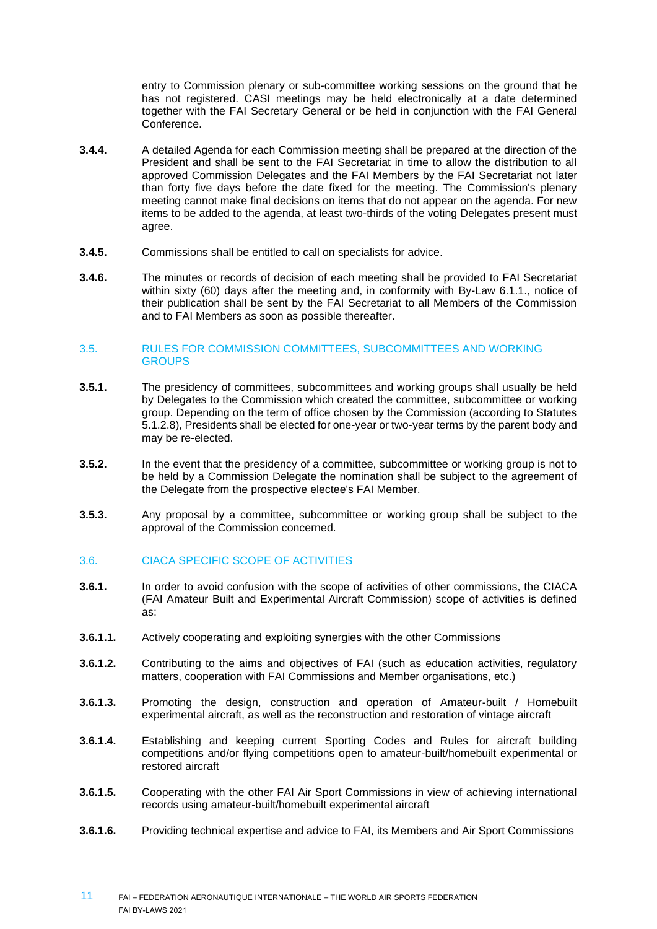entry to Commission plenary or sub-committee working sessions on the ground that he has not registered. CASI meetings may be held electronically at a date determined together with the FAI Secretary General or be held in conjunction with the FAI General Conference.

- **3.4.4.** A detailed Agenda for each Commission meeting shall be prepared at the direction of the President and shall be sent to the FAI Secretariat in time to allow the distribution to all approved Commission Delegates and the FAI Members by the FAI Secretariat not later than forty five days before the date fixed for the meeting. The Commission's plenary meeting cannot make final decisions on items that do not appear on the agenda. For new items to be added to the agenda, at least two-thirds of the voting Delegates present must agree.
- **3.4.5.** Commissions shall be entitled to call on specialists for advice.
- **3.4.6.** The minutes or records of decision of each meeting shall be provided to FAI Secretariat within sixty (60) days after the meeting and, in conformity with By-Law 6.1.1., notice of their publication shall be sent by the FAI Secretariat to all Members of the Commission and to FAI Members as soon as possible thereafter.

#### 3.5. RULES FOR COMMISSION COMMITTEES, SUBCOMMITTEES AND WORKING **GROUPS**

- **3.5.1.** The presidency of committees, subcommittees and working groups shall usually be held by Delegates to the Commission which created the committee, subcommittee or working group. Depending on the term of office chosen by the Commission (according to Statutes 5.1.2.8), Presidents shall be elected for one-year or two-year terms by the parent body and may be re-elected.
- **3.5.2.** In the event that the presidency of a committee, subcommittee or working group is not to be held by a Commission Delegate the nomination shall be subject to the agreement of the Delegate from the prospective electee's FAI Member.
- **3.5.3.** Any proposal by a committee, subcommittee or working group shall be subject to the approval of the Commission concerned.

# 3.6. CIACA SPECIFIC SCOPE OF ACTIVITIES

- **3.6.1.** In order to avoid confusion with the scope of activities of other commissions, the CIACA (FAI Amateur Built and Experimental Aircraft Commission) scope of activities is defined as:
- **3.6.1.1.** Actively cooperating and exploiting synergies with the other Commissions
- **3.6.1.2.** Contributing to the aims and objectives of FAI (such as education activities, regulatory matters, cooperation with FAI Commissions and Member organisations, etc.)
- **3.6.1.3.** Promoting the design, construction and operation of Amateur-built / Homebuilt experimental aircraft, as well as the reconstruction and restoration of vintage aircraft
- **3.6.1.4.** Establishing and keeping current Sporting Codes and Rules for aircraft building competitions and/or flying competitions open to amateur-built/homebuilt experimental or restored aircraft
- **3.6.1.5.** Cooperating with the other FAI Air Sport Commissions in view of achieving international records using amateur-built/homebuilt experimental aircraft
- **3.6.1.6.** Providing technical expertise and advice to FAI, its Members and Air Sport Commissions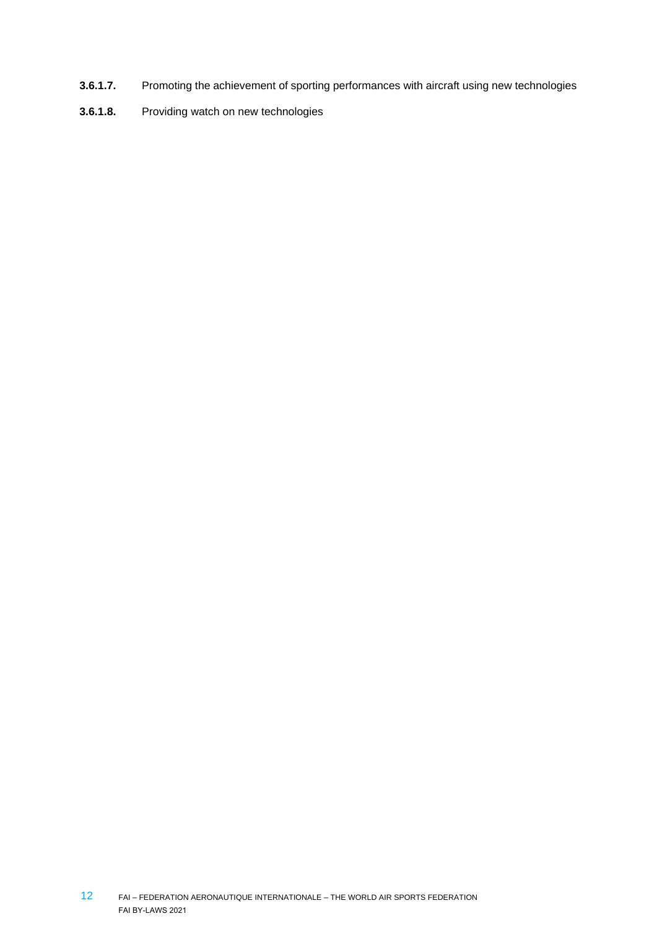- **3.6.1.7.** Promoting the achievement of sporting performances with aircraft using new technologies
- **3.6.1.8.** Providing watch on new technologies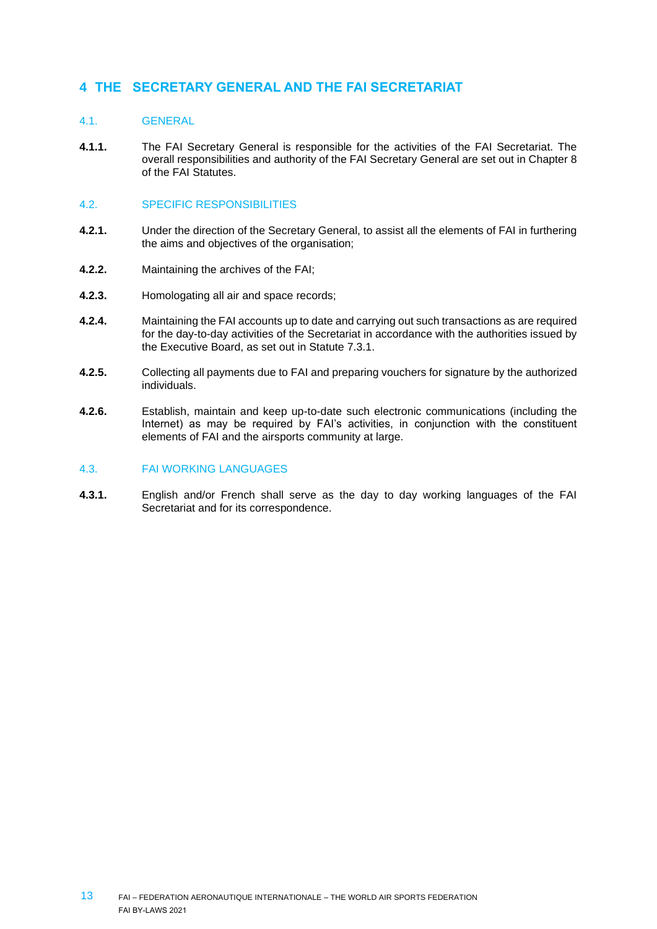# <span id="page-12-0"></span>**4 THE SECRETARY GENERAL AND THE FAI SECRETARIAT**

# 4.1. GENERAL

**4.1.1.** The FAI Secretary General is responsible for the activities of the FAI Secretariat. The overall responsibilities and authority of the FAI Secretary General are set out in Chapter 8 of the FAI Statutes.

# 4.2. SPECIFIC RESPONSIBILITIES

- **4.2.1.** Under the direction of the Secretary General, to assist all the elements of FAI in furthering the aims and objectives of the organisation;
- **4.2.2.** Maintaining the archives of the FAI;
- **4.2.3.** Homologating all air and space records;
- **4.2.4.** Maintaining the FAI accounts up to date and carrying out such transactions as are required for the day-to-day activities of the Secretariat in accordance with the authorities issued by the Executive Board, as set out in Statute 7.3.1.
- **4.2.5.** Collecting all payments due to FAI and preparing vouchers for signature by the authorized individuals.
- **4.2.6.** Establish, maintain and keep up-to-date such electronic communications (including the Internet) as may be required by FAI's activities, in conjunction with the constituent elements of FAI and the airsports community at large.

#### 4.3. FAI WORKING LANGUAGES

**4.3.1.** English and/or French shall serve as the day to day working languages of the FAI Secretariat and for its correspondence.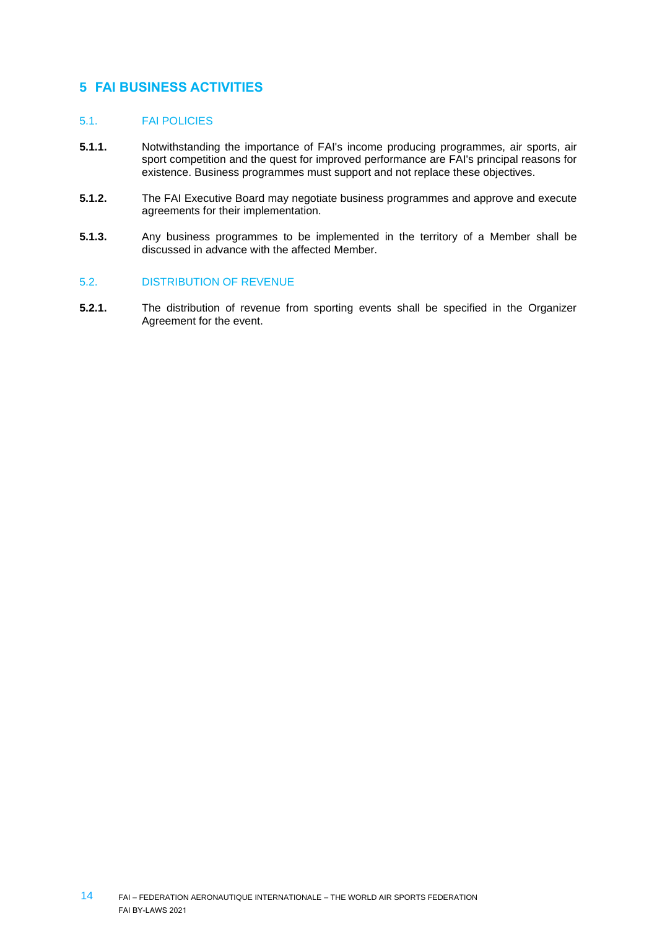# <span id="page-13-0"></span>**5 FAI BUSINESS ACTIVITIES**

## 5.1. FAI POLICIES

- **5.1.1.** Notwithstanding the importance of FAI's income producing programmes, air sports, air sport competition and the quest for improved performance are FAI's principal reasons for existence. Business programmes must support and not replace these objectives.
- **5.1.2.** The FAI Executive Board may negotiate business programmes and approve and execute agreements for their implementation.
- **5.1.3.** Any business programmes to be implemented in the territory of a Member shall be discussed in advance with the affected Member.

# 5.2. DISTRIBUTION OF REVENUE

**5.2.1.** The distribution of revenue from sporting events shall be specified in the Organizer Agreement for the event.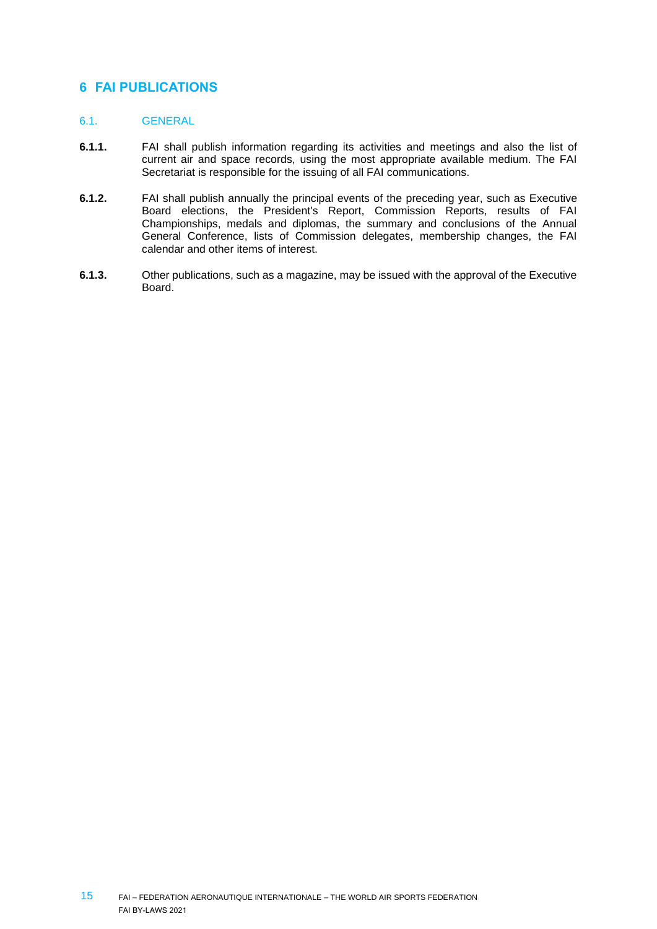# <span id="page-14-0"></span>**6 FAI PUBLICATIONS**

# 6.1. GENERAL

- **6.1.1.** FAI shall publish information regarding its activities and meetings and also the list of current air and space records, using the most appropriate available medium. The FAI Secretariat is responsible for the issuing of all FAI communications.
- **6.1.2.** FAI shall publish annually the principal events of the preceding year, such as Executive Board elections, the President's Report, Commission Reports, results of FAI Championships, medals and diplomas, the summary and conclusions of the Annual General Conference, lists of Commission delegates, membership changes, the FAI calendar and other items of interest.
- **6.1.3.** Other publications, such as a magazine, may be issued with the approval of the Executive Board.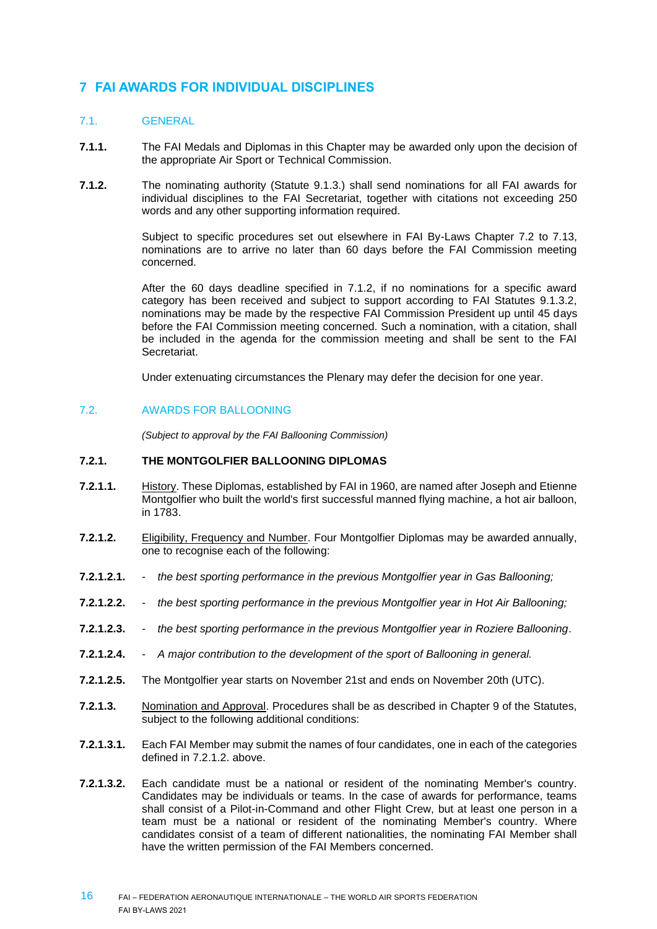# <span id="page-15-0"></span>**7 FAI AWARDS FOR INDIVIDUAL DISCIPLINES**

# 7.1. GENERAL

- **7.1.1.** The FAI Medals and Diplomas in this Chapter may be awarded only upon the decision of the appropriate Air Sport or Technical Commission.
- **7.1.2.** The nominating authority (Statute 9.1.3.) shall send nominations for all FAI awards for individual disciplines to the FAI Secretariat, together with citations not exceeding 250 words and any other supporting information required.

Subject to specific procedures set out elsewhere in FAI By-Laws Chapter 7.2 to 7.13, nominations are to arrive no later than 60 days before the FAI Commission meeting concerned.

After the 60 days deadline specified in 7.1.2, if no nominations for a specific award category has been received and subject to support according to FAI Statutes 9.1.3.2, nominations may be made by the respective FAI Commission President up until 45 days before the FAI Commission meeting concerned. Such a nomination, with a citation, shall be included in the agenda for the commission meeting and shall be sent to the FAI Secretariat.

Under extenuating circumstances the Plenary may defer the decision for one year.

# 7.2. AWARDS FOR BALLOONING

*(Subject to approval by the FAI Ballooning Commission)*

#### **7.2.1. THE MONTGOLFIER BALLOONING DIPLOMAS**

- **7.2.1.1.** History. These Diplomas, established by FAI in 1960, are named after Joseph and Etienne Montgolfier who built the world's first successful manned flying machine, a hot air balloon, in 1783.
- **7.2.1.2.** Eligibility, Frequency and Number. Four Montgolfier Diplomas may be awarded annually, one to recognise each of the following:
- **7.2.1.2.1.** *- the best sporting performance in the previous Montgolfier year in Gas Ballooning;*
- **7.2.1.2.2.** *- the best sporting performance in the previous Montgolfier year in Hot Air Ballooning;*
- **7.2.1.2.3.** *- the best sporting performance in the previous Montgolfier year in Roziere Ballooning*.
- **7.2.1.2.4.** *- A major contribution to the development of the sport of Ballooning in general.*
- **7.2.1.2.5.** The Montgolfier year starts on November 21st and ends on November 20th (UTC).
- **7.2.1.3.** Nomination and Approval. Procedures shall be as described in Chapter 9 of the Statutes, subject to the following additional conditions:
- **7.2.1.3.1.** Each FAI Member may submit the names of four candidates, one in each of the categories defined in 7.2.1.2. above.
- **7.2.1.3.2.** Each candidate must be a national or resident of the nominating Member's country. Candidates may be individuals or teams. In the case of awards for performance, teams shall consist of a Pilot-in-Command and other Flight Crew, but at least one person in a team must be a national or resident of the nominating Member's country. Where candidates consist of a team of different nationalities, the nominating FAI Member shall have the written permission of the FAI Members concerned.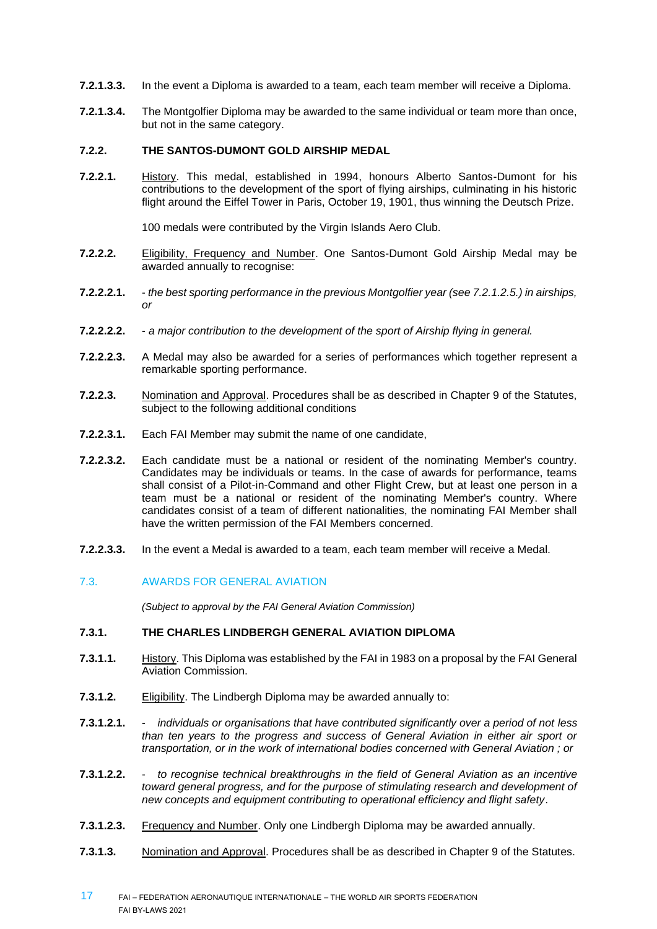- **7.2.1.3.3.** In the event a Diploma is awarded to a team, each team member will receive a Diploma.
- **7.2.1.3.4.** The Montgolfier Diploma may be awarded to the same individual or team more than once, but not in the same category.

# **7.2.2. THE SANTOS-DUMONT GOLD AIRSHIP MEDAL**

**7.2.2.1.** History. This medal, established in 1994, honours Alberto Santos-Dumont for his contributions to the development of the sport of flying airships, culminating in his historic flight around the Eiffel Tower in Paris, October 19, 1901, thus winning the Deutsch Prize.

100 medals were contributed by the Virgin Islands Aero Club.

- **7.2.2.2.** Eligibility, Frequency and Number. One Santos-Dumont Gold Airship Medal may be awarded annually to recognise:
- **7.2.2.2.1.** *the best sporting performance in the previous Montgolfier year (see 7.2.1.2.5.) in airships, or*
- **7.2.2.2.2.** *a major contribution to the development of the sport of Airship flying in general.*
- **7.2.2.2.3.** A Medal may also be awarded for a series of performances which together represent a remarkable sporting performance.
- **7.2.2.3.** Nomination and Approval. Procedures shall be as described in Chapter 9 of the Statutes, subject to the following additional conditions
- **7.2.2.3.1.** Each FAI Member may submit the name of one candidate,
- **7.2.2.3.2.** Each candidate must be a national or resident of the nominating Member's country. Candidates may be individuals or teams. In the case of awards for performance, teams shall consist of a Pilot-in-Command and other Flight Crew, but at least one person in a team must be a national or resident of the nominating Member's country. Where candidates consist of a team of different nationalities, the nominating FAI Member shall have the written permission of the FAI Members concerned.
- **7.2.2.3.3.** In the event a Medal is awarded to a team, each team member will receive a Medal.
- 7.3. AWARDS FOR GENERAL AVIATION

*(Subject to approval by the FAI General Aviation Commission)*

#### **7.3.1. THE CHARLES LINDBERGH GENERAL AVIATION DIPLOMA**

- **7.3.1.1.** History. This Diploma was established by the FAI in 1983 on a proposal by the FAI General Aviation Commission.
- **7.3.1.2.** Eligibility. The Lindbergh Diploma may be awarded annually to:
- **7.3.1.2.1.** *individuals or organisations that have contributed significantly over a period of not less than ten years to the progress and success of General Aviation in either air sport or transportation, or in the work of international bodies concerned with General Aviation ; or*
- **7.3.1.2.2.** *to recognise technical breakthroughs in the field of General Aviation as an incentive toward general progress, and for the purpose of stimulating research and development of new concepts and equipment contributing to operational efficiency and flight safety*.
- **7.3.1.2.3.** Frequency and Number. Only one Lindbergh Diploma may be awarded annually.
- **7.3.1.3.** Nomination and Approval. Procedures shall be as described in Chapter 9 of the Statutes.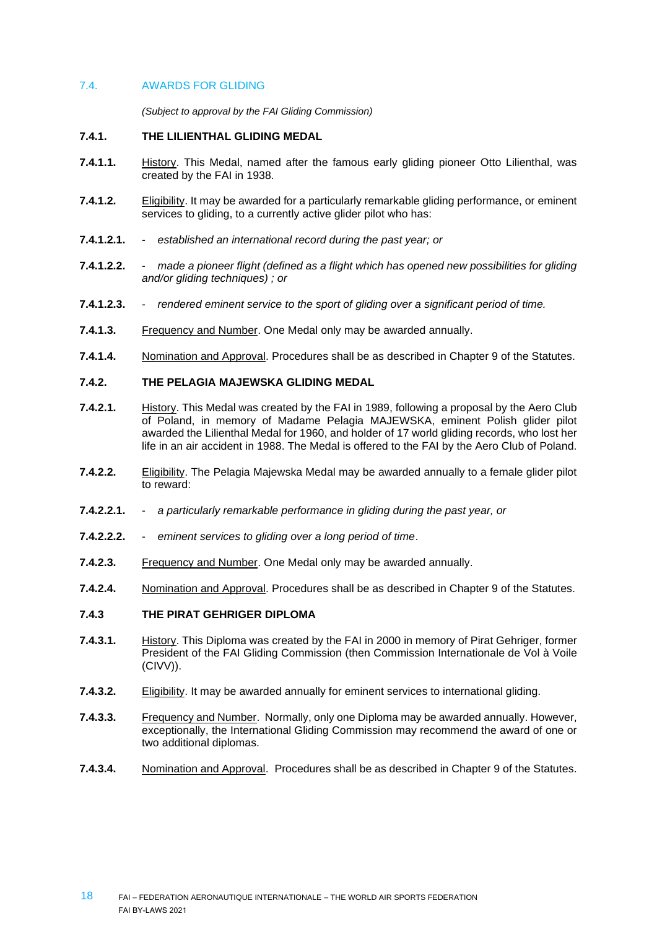#### 7.4. AWARDS FOR GLIDING

*(Subject to approval by the FAI Gliding Commission)*

#### **7.4.1. THE LILIENTHAL GLIDING MEDAL**

- **7.4.1.1.** History. This Medal, named after the famous early gliding pioneer Otto Lilienthal, was created by the FAI in 1938.
- **7.4.1.2.** Eligibility. It may be awarded for a particularly remarkable gliding performance, or eminent services to gliding, to a currently active glider pilot who has:
- **7.4.1.2.1.** *established an international record during the past year; or*
- **7.4.1.2.2.** *made a pioneer flight (defined as a flight which has opened new possibilities for gliding and/or gliding techniques) ; or*
- **7.4.1.2.3.** *rendered eminent service to the sport of gliding over a significant period of time.*
- **7.4.1.3.** Frequency and Number. One Medal only may be awarded annually.
- **7.4.1.4.** Nomination and Approval. Procedures shall be as described in Chapter 9 of the Statutes.

## **7.4.2. THE PELAGIA MAJEWSKA GLIDING MEDAL**

- **7.4.2.1.** History. This Medal was created by the FAI in 1989, following a proposal by the Aero Club of Poland, in memory of Madame Pelagia MAJEWSKA, eminent Polish glider pilot awarded the Lilienthal Medal for 1960, and holder of 17 world gliding records, who lost her life in an air accident in 1988. The Medal is offered to the FAI by the Aero Club of Poland.
- **7.4.2.2.** Eligibility. The Pelagia Majewska Medal may be awarded annually to a female glider pilot to reward:
- **7.4.2.2.1.** *a particularly remarkable performance in gliding during the past year, or*
- **7.4.2.2.2.** *eminent services to gliding over a long period of time*.
- **7.4.2.3.** Frequency and Number. One Medal only may be awarded annually.
- **7.4.2.4.** Nomination and Approval. Procedures shall be as described in Chapter 9 of the Statutes.

# **7.4.3 THE PIRAT GEHRIGER DIPLOMA**

- **7.4.3.1.** History. This Diploma was created by the FAI in 2000 in memory of Pirat Gehriger, former President of the FAI Gliding Commission (then Commission Internationale de Vol à Voile (CIVV)).
- **7.4.3.2.** Eligibility. It may be awarded annually for eminent services to international gliding.
- **7.4.3.3.** Frequency and Number. Normally, only one Diploma may be awarded annually. However, exceptionally, the International Gliding Commission may recommend the award of one or two additional diplomas.
- **7.4.3.4.** Nomination and Approval. Procedures shall be as described in Chapter 9 of the Statutes.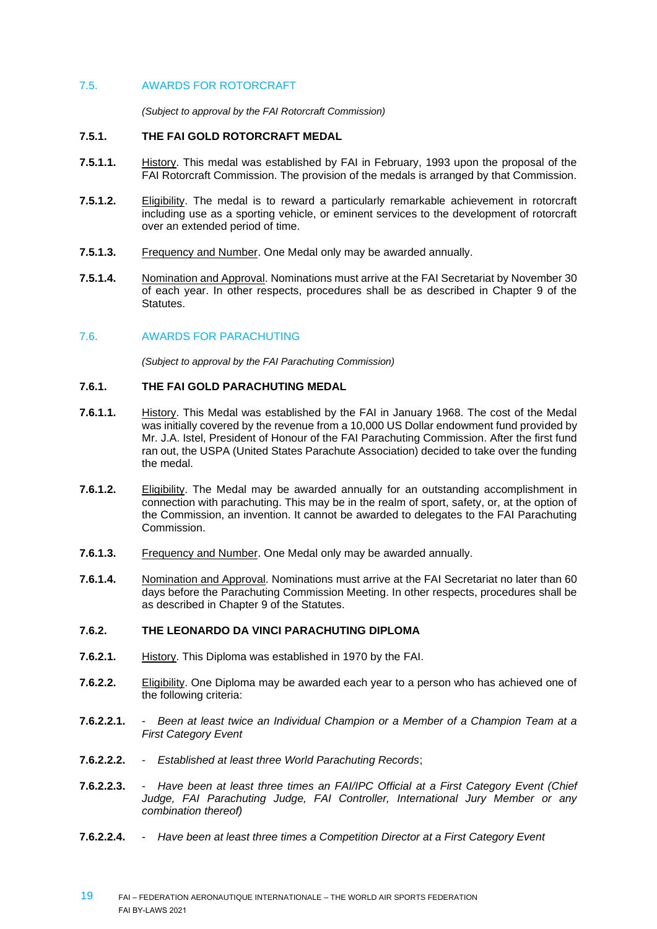# 7.5. AWARDS FOR ROTORCRAFT

*(Subject to approval by the FAI Rotorcraft Commission)*

#### **7.5.1. THE FAI GOLD ROTORCRAFT MEDAL**

- **7.5.1.1.** History. This medal was established by FAI in February, 1993 upon the proposal of the FAI Rotorcraft Commission. The provision of the medals is arranged by that Commission.
- **7.5.1.2.** Eligibility. The medal is to reward a particularly remarkable achievement in rotorcraft including use as a sporting vehicle, or eminent services to the development of rotorcraft over an extended period of time.
- **7.5.1.3.** Frequency and Number. One Medal only may be awarded annually.
- **7.5.1.4.** Nomination and Approval. Nominations must arrive at the FAI Secretariat by November 30 of each year. In other respects, procedures shall be as described in Chapter 9 of the Statutes.

# 7.6. AWARDS FOR PARACHUTING

*(Subject to approval by the FAI Parachuting Commission)*

# **7.6.1. THE FAI GOLD PARACHUTING MEDAL**

- **7.6.1.1.** History. This Medal was established by the FAI in January 1968. The cost of the Medal was initially covered by the revenue from a 10,000 US Dollar endowment fund provided by Mr. J.A. Istel, President of Honour of the FAI Parachuting Commission. After the first fund ran out, the USPA (United States Parachute Association) decided to take over the funding the medal.
- **7.6.1.2.** Eligibility. The Medal may be awarded annually for an outstanding accomplishment in connection with parachuting. This may be in the realm of sport, safety, or, at the option of the Commission, an invention. It cannot be awarded to delegates to the FAI Parachuting Commission.
- **7.6.1.3.** Frequency and Number. One Medal only may be awarded annually.
- **7.6.1.4.** Nomination and Approval. Nominations must arrive at the FAI Secretariat no later than 60 days before the Parachuting Commission Meeting. In other respects, procedures shall be as described in Chapter 9 of the Statutes.

# **7.6.2. THE LEONARDO DA VINCI PARACHUTING DIPLOMA**

- **7.6.2.1.** History. This Diploma was established in 1970 by the FAI.
- **7.6.2.2.** Eligibility. One Diploma may be awarded each year to a person who has achieved one of the following criteria:
- **7.6.2.2.1.** *Been at least twice an Individual Champion or a Member of a Champion Team at a First Category Event*
- **7.6.2.2.2.** *Established at least three World Parachuting Records*;
- **7.6.2.2.3.** *Have been at least three times an FAI/IPC Official at a First Category Event (Chief Judge, FAI Parachuting Judge, FAI Controller, International Jury Member or any combination thereof)*
- **7.6.2.2.4.** *Have been at least three times a Competition Director at a First Category Event*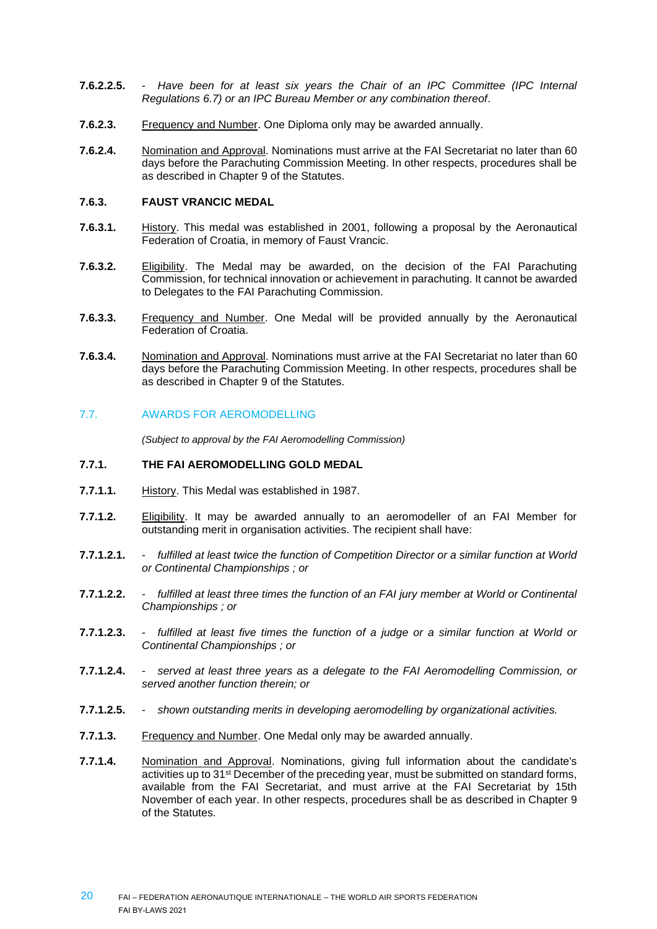- **7.6.2.2.5.** *Have been for at least six years the Chair of an IPC Committee (IPC Internal Regulations 6.7) or an IPC Bureau Member or any combination thereof*.
- **7.6.2.3.** Frequency and Number. One Diploma only may be awarded annually.
- **7.6.2.4.** Nomination and Approval. Nominations must arrive at the FAI Secretariat no later than 60 days before the Parachuting Commission Meeting. In other respects, procedures shall be as described in Chapter 9 of the Statutes.

#### **7.6.3. FAUST VRANCIC MEDAL**

- **7.6.3.1.** History. This medal was established in 2001, following a proposal by the Aeronautical Federation of Croatia, in memory of Faust Vrancic.
- **7.6.3.2.** Eligibility. The Medal may be awarded, on the decision of the FAI Parachuting Commission, for technical innovation or achievement in parachuting. It cannot be awarded to Delegates to the FAI Parachuting Commission.
- **7.6.3.3.** Frequency and Number. One Medal will be provided annually by the Aeronautical Federation of Croatia.
- **7.6.3.4.** Nomination and Approval. Nominations must arrive at the FAI Secretariat no later than 60 days before the Parachuting Commission Meeting. In other respects, procedures shall be as described in Chapter 9 of the Statutes.

#### 7.7. AWARDS FOR AEROMODELLING

*(Subject to approval by the FAI Aeromodelling Commission)*

# **7.7.1. THE FAI AEROMODELLING GOLD MEDAL**

- **7.7.1.1.** History. This Medal was established in 1987.
- **7.7.1.2.** Eligibility. It may be awarded annually to an aeromodeller of an FAI Member for outstanding merit in organisation activities. The recipient shall have:
- **7.7.1.2.1.** *fulfilled at least twice the function of Competition Director or a similar function at World or Continental Championships ; or*
- **7.7.1.2.2.** *fulfilled at least three times the function of an FAI jury member at World or Continental Championships ; or*
- **7.7.1.2.3.** *fulfilled at least five times the function of a judge or a similar function at World or Continental Championships ; or*
- **7.7.1.2.4.** *served at least three years as a delegate to the FAI Aeromodelling Commission, or served another function therein; or*
- **7.7.1.2.5.** *shown outstanding merits in developing aeromodelling by organizational activities.*
- **7.7.1.3.** Frequency and Number. One Medal only may be awarded annually.
- **7.7.1.4.** Nomination and Approval. Nominations, giving full information about the candidate's activities up to 31st December of the preceding year, must be submitted on standard forms, available from the FAI Secretariat, and must arrive at the FAI Secretariat by 15th November of each year. In other respects, procedures shall be as described in Chapter 9 of the Statutes.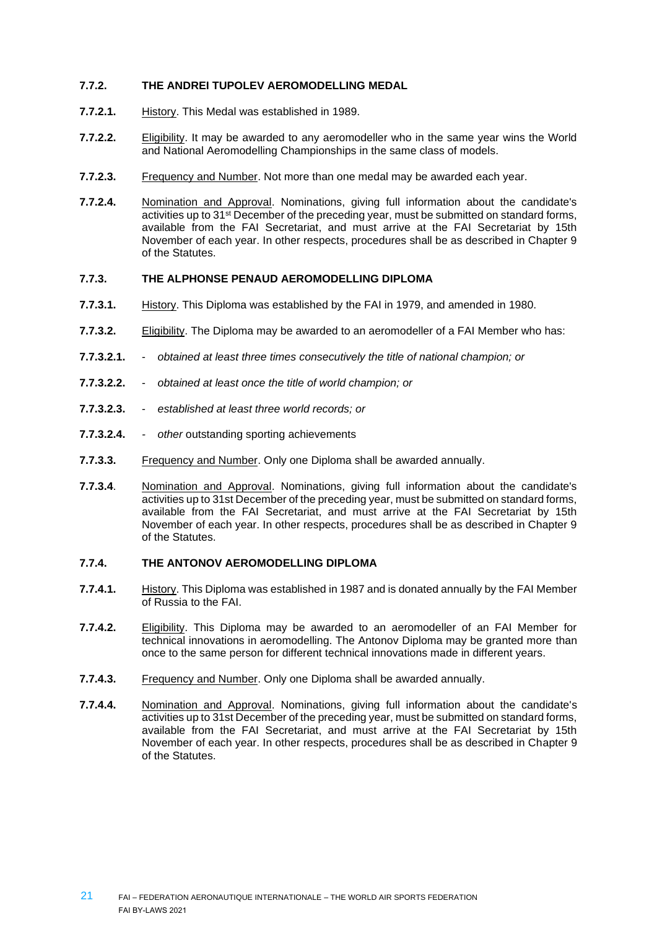# **7.7.2. THE ANDREI TUPOLEV AEROMODELLING MEDAL**

- **7.7.2.1.** History. This Medal was established in 1989.
- **7.7.2.2.** Eligibility. It may be awarded to any aeromodeller who in the same year wins the World and National Aeromodelling Championships in the same class of models.
- **7.7.2.3.** Frequency and Number. Not more than one medal may be awarded each year.
- **7.7.2.4.** Nomination and Approval. Nominations, giving full information about the candidate's activities up to 31<sup>st</sup> December of the preceding year, must be submitted on standard forms, available from the FAI Secretariat, and must arrive at the FAI Secretariat by 15th November of each year. In other respects, procedures shall be as described in Chapter 9 of the Statutes.

#### **7.7.3. THE ALPHONSE PENAUD AEROMODELLING DIPLOMA**

- **7.7.3.1.** History. This Diploma was established by the FAI in 1979, and amended in 1980.
- **7.7.3.2.** Eligibility. The Diploma may be awarded to an aeromodeller of a FAI Member who has:
- **7.7.3.2.1.** *obtained at least three times consecutively the title of national champion; or*
- **7.7.3.2.2.** *obtained at least once the title of world champion; or*
- **7.7.3.2.3.** *established at least three world records; or*
- **7.7.3.2.4.** *- other* outstanding sporting achievements
- **7.7.3.3.** Frequency and Number. Only one Diploma shall be awarded annually.
- **7.7.3.4**. Nomination and Approval. Nominations, giving full information about the candidate's activities up to 31st December of the preceding year, must be submitted on standard forms, available from the FAI Secretariat, and must arrive at the FAI Secretariat by 15th November of each year. In other respects, procedures shall be as described in Chapter 9 of the Statutes.

#### **7.7.4. THE ANTONOV AEROMODELLING DIPLOMA**

- **7.7.4.1.** History. This Diploma was established in 1987 and is donated annually by the FAI Member of Russia to the FAI.
- **7.7.4.2.** Eligibility. This Diploma may be awarded to an aeromodeller of an FAI Member for technical innovations in aeromodelling. The Antonov Diploma may be granted more than once to the same person for different technical innovations made in different years.
- **7.7.4.3.** Frequency and Number. Only one Diploma shall be awarded annually.
- 7.7.4.4. Nomination and Approval. Nominations, giving full information about the candidate's activities up to 31st December of the preceding year, must be submitted on standard forms, available from the FAI Secretariat, and must arrive at the FAI Secretariat by 15th November of each year. In other respects, procedures shall be as described in Chapter 9 of the Statutes.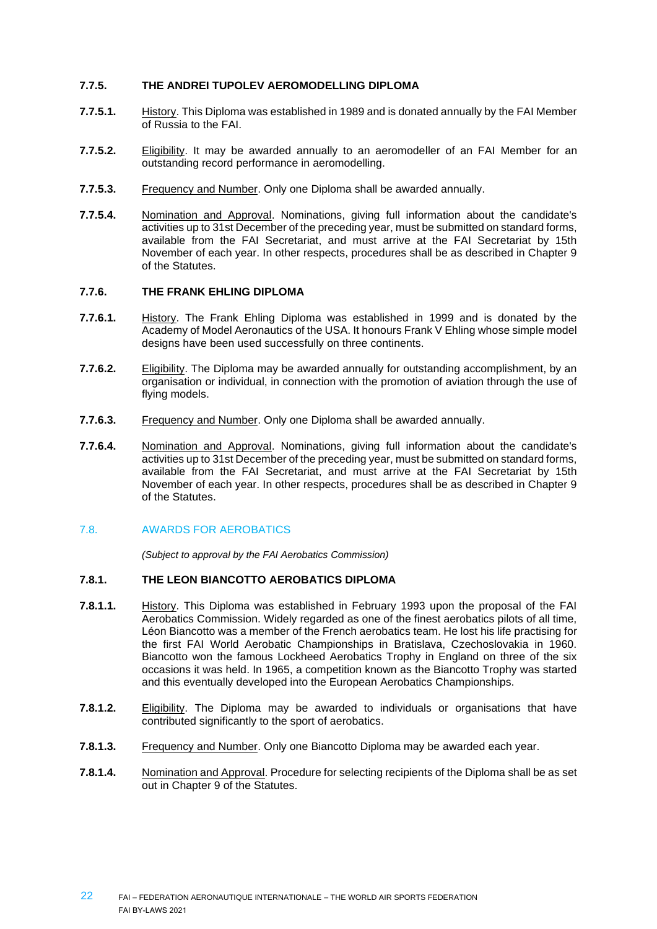# **7.7.5. THE ANDREI TUPOLEV AEROMODELLING DIPLOMA**

- **7.7.5.1.** History. This Diploma was established in 1989 and is donated annually by the FAI Member of Russia to the FAI.
- **7.7.5.2.** Eligibility. It may be awarded annually to an aeromodeller of an FAI Member for an outstanding record performance in aeromodelling.
- **7.7.5.3.** Frequency and Number. Only one Diploma shall be awarded annually.
- 7.7.5.4. Nomination and Approval. Nominations, giving full information about the candidate's activities up to 31st December of the preceding year, must be submitted on standard forms, available from the FAI Secretariat, and must arrive at the FAI Secretariat by 15th November of each year. In other respects, procedures shall be as described in Chapter 9 of the Statutes.

#### **7.7.6. THE FRANK EHLING DIPLOMA**

- **7.7.6.1.** History. The Frank Ehling Diploma was established in 1999 and is donated by the Academy of Model Aeronautics of the USA. It honours Frank V Ehling whose simple model designs have been used successfully on three continents.
- **7.7.6.2.** Eligibility. The Diploma may be awarded annually for outstanding accomplishment, by an organisation or individual, in connection with the promotion of aviation through the use of flying models.
- **7.7.6.3.** Frequency and Number. Only one Diploma shall be awarded annually.
- **7.7.6.4.** Nomination and Approval. Nominations, giving full information about the candidate's activities up to 31st December of the preceding year, must be submitted on standard forms, available from the FAI Secretariat, and must arrive at the FAI Secretariat by 15th November of each year. In other respects, procedures shall be as described in Chapter 9 of the Statutes.

#### 7.8. AWARDS FOR AEROBATICS

*(Subject to approval by the FAI Aerobatics Commission)*

#### **7.8.1. THE LEON BIANCOTTO AEROBATICS DIPLOMA**

- **7.8.1.1.** History. This Diploma was established in February 1993 upon the proposal of the FAI Aerobatics Commission. Widely regarded as one of the finest aerobatics pilots of all time, Léon Biancotto was a member of the French aerobatics team. He lost his life practising for the first FAI World Aerobatic Championships in Bratislava, Czechoslovakia in 1960. Biancotto won the famous Lockheed Aerobatics Trophy in England on three of the six occasions it was held. In 1965, a competition known as the Biancotto Trophy was started and this eventually developed into the European Aerobatics Championships.
- **7.8.1.2.** Eligibility. The Diploma may be awarded to individuals or organisations that have contributed significantly to the sport of aerobatics.
- **7.8.1.3.** Frequency and Number. Only one Biancotto Diploma may be awarded each year.
- **7.8.1.4.** Nomination and Approval. Procedure for selecting recipients of the Diploma shall be as set out in Chapter 9 of the Statutes.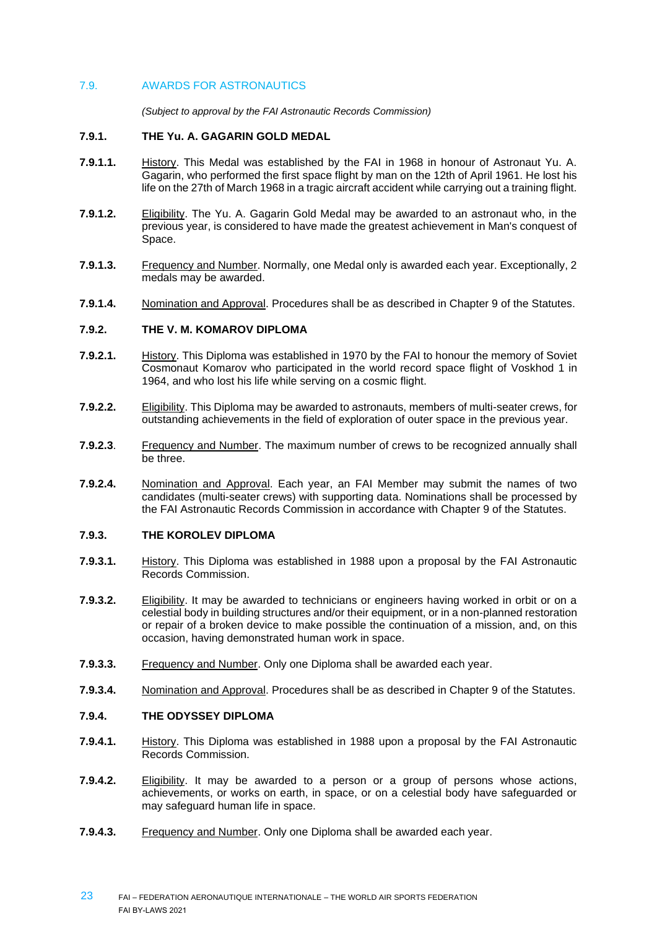# 7.9. AWARDS FOR ASTRONAUTICS

*(Subject to approval by the FAI Astronautic Records Commission)*

#### **7.9.1. THE Yu. A. GAGARIN GOLD MEDAL**

- **7.9.1.1.** History. This Medal was established by the FAI in 1968 in honour of Astronaut Yu. A. Gagarin, who performed the first space flight by man on the 12th of April 1961. He lost his life on the 27th of March 1968 in a tragic aircraft accident while carrying out a training flight.
- **7.9.1.2.** Eligibility. The Yu. A. Gagarin Gold Medal may be awarded to an astronaut who, in the previous year, is considered to have made the greatest achievement in Man's conquest of Space.
- **7.9.1.3.** Frequency and Number. Normally, one Medal only is awarded each year. Exceptionally, 2 medals may be awarded.
- **7.9.1.4.** Nomination and Approval. Procedures shall be as described in Chapter 9 of the Statutes.

# **7.9.2. THE V. M. KOMAROV DIPLOMA**

- **7.9.2.1.** History. This Diploma was established in 1970 by the FAI to honour the memory of Soviet Cosmonaut Komarov who participated in the world record space flight of Voskhod 1 in 1964, and who lost his life while serving on a cosmic flight.
- **7.9.2.2.** Eligibility. This Diploma may be awarded to astronauts, members of multi-seater crews, for outstanding achievements in the field of exploration of outer space in the previous year.
- **7.9.2.3**. Frequency and Number. The maximum number of crews to be recognized annually shall be three.
- **7.9.2.4.** Nomination and Approval. Each year, an FAI Member may submit the names of two candidates (multi-seater crews) with supporting data. Nominations shall be processed by the FAI Astronautic Records Commission in accordance with Chapter 9 of the Statutes.

#### **7.9.3. THE KOROLEV DIPLOMA**

- **7.9.3.1.** History. This Diploma was established in 1988 upon a proposal by the FAI Astronautic Records Commission.
- **7.9.3.2.** Eligibility. It may be awarded to technicians or engineers having worked in orbit or on a celestial body in building structures and/or their equipment, or in a non-planned restoration or repair of a broken device to make possible the continuation of a mission, and, on this occasion, having demonstrated human work in space.
- **7.9.3.3.** Frequency and Number. Only one Diploma shall be awarded each year.
- **7.9.3.4.** Nomination and Approval. Procedures shall be as described in Chapter 9 of the Statutes.

#### **7.9.4. THE ODYSSEY DIPLOMA**

- **7.9.4.1.** History. This Diploma was established in 1988 upon a proposal by the FAI Astronautic Records Commission.
- **7.9.4.2.** Eligibility. It may be awarded to a person or a group of persons whose actions, achievements, or works on earth, in space, or on a celestial body have safeguarded or may safeguard human life in space.
- **7.9.4.3.** Frequency and Number. Only one Diploma shall be awarded each year.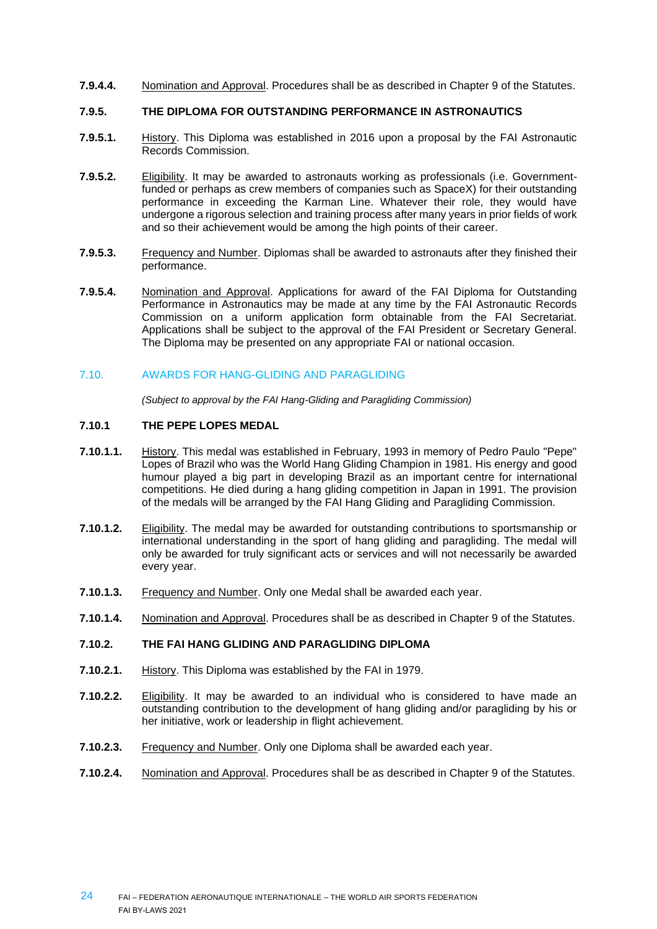**7.9.4.4.** Nomination and Approval. Procedures shall be as described in Chapter 9 of the Statutes.

#### **7.9.5. THE DIPLOMA FOR OUTSTANDING PERFORMANCE IN ASTRONAUTICS**

- **7.9.5.1.** History. This Diploma was established in 2016 upon a proposal by the FAI Astronautic Records Commission.
- **7.9.5.2.** Eligibility. It may be awarded to astronauts working as professionals (i.e. Governmentfunded or perhaps as crew members of companies such as SpaceX) for their outstanding performance in exceeding the Karman Line. Whatever their role, they would have undergone a rigorous selection and training process after many years in prior fields of work and so their achievement would be among the high points of their career.
- **7.9.5.3.** Frequency and Number. Diplomas shall be awarded to astronauts after they finished their performance.
- **7.9.5.4.** Nomination and Approval. Applications for award of the FAI Diploma for Outstanding Performance in Astronautics may be made at any time by the FAI Astronautic Records Commission on a uniform application form obtainable from the FAI Secretariat. Applications shall be subject to the approval of the FAI President or Secretary General. The Diploma may be presented on any appropriate FAI or national occasion.

#### 7.10. AWARDS FOR HANG-GLIDING AND PARAGLIDING

*(Subject to approval by the FAI Hang-Gliding and Paragliding Commission)*

#### **7.10.1 THE PEPE LOPES MEDAL**

- **7.10.1.1.** History. This medal was established in February, 1993 in memory of Pedro Paulo "Pepe" Lopes of Brazil who was the World Hang Gliding Champion in 1981. His energy and good humour played a big part in developing Brazil as an important centre for international competitions. He died during a hang gliding competition in Japan in 1991. The provision of the medals will be arranged by the FAI Hang Gliding and Paragliding Commission.
- **7.10.1.2.** Eligibility. The medal may be awarded for outstanding contributions to sportsmanship or international understanding in the sport of hang gliding and paragliding. The medal will only be awarded for truly significant acts or services and will not necessarily be awarded every year.
- **7.10.1.3.** Frequency and Number. Only one Medal shall be awarded each year.
- **7.10.1.4.** Nomination and Approval. Procedures shall be as described in Chapter 9 of the Statutes.

#### **7.10.2. THE FAI HANG GLIDING AND PARAGLIDING DIPLOMA**

- **7.10.2.1.** History. This Diploma was established by the FAI in 1979.
- **7.10.2.2.** Eligibility. It may be awarded to an individual who is considered to have made an outstanding contribution to the development of hang gliding and/or paragliding by his or her initiative, work or leadership in flight achievement.
- **7.10.2.3.** Frequency and Number. Only one Diploma shall be awarded each year.
- **7.10.2.4.** Nomination and Approval. Procedures shall be as described in Chapter 9 of the Statutes.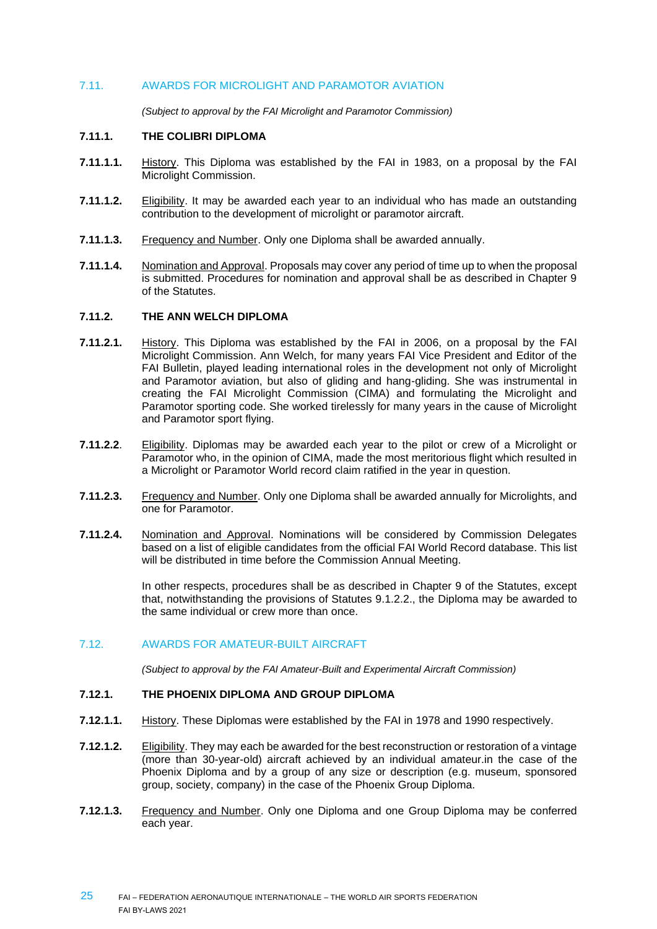# 7.11. AWARDS FOR MICROLIGHT AND PARAMOTOR AVIATION

*(Subject to approval by the FAI Microlight and Paramotor Commission)*

#### **7.11.1. THE COLIBRI DIPLOMA**

- **7.11.1.1.** History. This Diploma was established by the FAI in 1983, on a proposal by the FAI Microlight Commission.
- **7.11.1.2.** Eligibility. It may be awarded each year to an individual who has made an outstanding contribution to the development of microlight or paramotor aircraft.
- **7.11.1.3.** Frequency and Number. Only one Diploma shall be awarded annually.
- **7.11.1.4.** Nomination and Approval. Proposals may cover any period of time up to when the proposal is submitted. Procedures for nomination and approval shall be as described in Chapter 9 of the Statutes.

#### **7.11.2. THE ANN WELCH DIPLOMA**

- **7.11.2.1.** History. This Diploma was established by the FAI in 2006, on a proposal by the FAI Microlight Commission. Ann Welch, for many years FAI Vice President and Editor of the FAI Bulletin, played leading international roles in the development not only of Microlight and Paramotor aviation, but also of gliding and hang-gliding. She was instrumental in creating the FAI Microlight Commission (CIMA) and formulating the Microlight and Paramotor sporting code. She worked tirelessly for many years in the cause of Microlight and Paramotor sport flying.
- **7.11.2.2**. Eligibility. Diplomas may be awarded each year to the pilot or crew of a Microlight or Paramotor who, in the opinion of CIMA, made the most meritorious flight which resulted in a Microlight or Paramotor World record claim ratified in the year in question.
- **7.11.2.3.** Frequency and Number. Only one Diploma shall be awarded annually for Microlights, and one for Paramotor.
- **7.11.2.4.** Nomination and Approval. Nominations will be considered by Commission Delegates based on a list of eligible candidates from the official FAI World Record database. This list will be distributed in time before the Commission Annual Meeting.

In other respects, procedures shall be as described in Chapter 9 of the Statutes, except that, notwithstanding the provisions of Statutes 9.1.2.2., the Diploma may be awarded to the same individual or crew more than once.

#### 7.12. AWARDS FOR AMATEUR-BUILT AIRCRAFT

*(Subject to approval by the FAI Amateur-Built and Experimental Aircraft Commission)*

#### **7.12.1. THE PHOENIX DIPLOMA AND GROUP DIPLOMA**

- **7.12.1.1.** History. These Diplomas were established by the FAI in 1978 and 1990 respectively.
- **7.12.1.2.** Eligibility. They may each be awarded for the best reconstruction or restoration of a vintage (more than 30-year-old) aircraft achieved by an individual amateur.in the case of the Phoenix Diploma and by a group of any size or description (e.g. museum, sponsored group, society, company) in the case of the Phoenix Group Diploma.
- **7.12.1.3.** Frequency and Number. Only one Diploma and one Group Diploma may be conferred each year.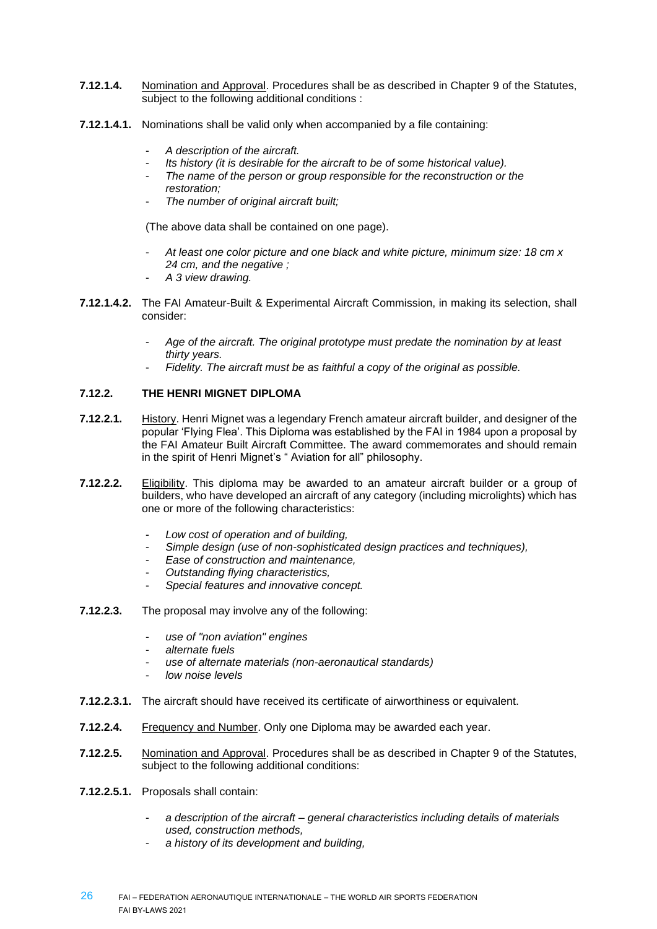- **7.12.1.4.** Nomination and Approval. Procedures shall be as described in Chapter 9 of the Statutes, subject to the following additional conditions :
- **7.12.1.4.1.** Nominations shall be valid only when accompanied by a file containing:
	- *A description of the aircraft.*
	- *Its history (it is desirable for the aircraft to be of some historical value).*
	- *The name of the person or group responsible for the reconstruction or the restoration;*
	- *The number of original aircraft built;*

(The above data shall be contained on one page).

- *At least one color picture and one black and white picture, minimum size: 18 cm x 24 cm, and the negative ;*
- *A 3 view drawing.*
- **7.12.1.4.2.** The FAI Amateur-Built & Experimental Aircraft Commission, in making its selection, shall consider:
	- *Age of the aircraft. The original prototype must predate the nomination by at least thirty years.*
	- Fidelity. The aircraft must be as faithful a copy of the original as possible.

# **7.12.2. THE HENRI MIGNET DIPLOMA**

- **7.12.2.1.** History. Henri Mignet was a legendary French amateur aircraft builder, and designer of the popular 'Flying Flea'. This Diploma was established by the FAI in 1984 upon a proposal by the FAI Amateur Built Aircraft Committee. The award commemorates and should remain in the spirit of Henri Mignet's " Aviation for all" philosophy.
- **7.12.2.2.** Eligibility. This diploma may be awarded to an amateur aircraft builder or a group of builders, who have developed an aircraft of any category (including microlights) which has one or more of the following characteristics:
	- *Low cost of operation and of building,*
	- *Simple design (use of non-sophisticated design practices and techniques),*
	- *Ease of construction and maintenance,*
	- *Outstanding flying characteristics,*
	- *Special features and innovative concept.*
- **7.12.2.3.** The proposal may involve any of the following:
	- *use of "non aviation" engines*
	- *alternate fuels*
	- *use of alternate materials (non-aeronautical standards)*
	- *low noise levels*
- **7.12.2.3.1.** The aircraft should have received its certificate of airworthiness or equivalent.
- **7.12.2.4.** Frequency and Number. Only one Diploma may be awarded each year.
- **7.12.2.5.** Nomination and Approval. Procedures shall be as described in Chapter 9 of the Statutes, subject to the following additional conditions:
- **7.12.2.5.1.** Proposals shall contain:
	- *a description of the aircraft – general characteristics including details of materials used, construction methods,*
	- *a history of its development and building,*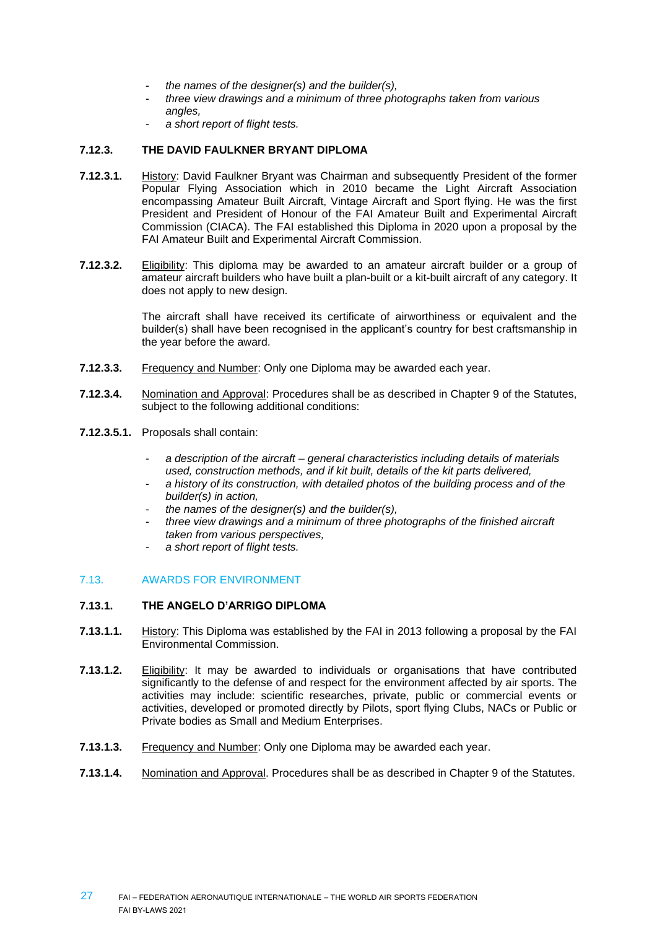- *the names of the designer(s) and the builder(s),*
- *three view drawings and a minimum of three photographs taken from various angles,*
- *a short report of flight tests.*

# **7.12.3. THE DAVID FAULKNER BRYANT DIPLOMA**

- **7.12.3.1.** History: David Faulkner Bryant was Chairman and subsequently President of the former Popular Flying Association which in 2010 became the Light Aircraft Association encompassing Amateur Built Aircraft, Vintage Aircraft and Sport flying. He was the first President and President of Honour of the FAI Amateur Built and Experimental Aircraft Commission (CIACA). The FAI established this Diploma in 2020 upon a proposal by the FAI Amateur Built and Experimental Aircraft Commission.
- **7.12.3.2.** Eligibility: This diploma may be awarded to an amateur aircraft builder or a group of amateur aircraft builders who have built a plan-built or a kit-built aircraft of any category. It does not apply to new design.

The aircraft shall have received its certificate of airworthiness or equivalent and the builder(s) shall have been recognised in the applicant's country for best craftsmanship in the year before the award.

- **7.12.3.3.** Frequency and Number: Only one Diploma may be awarded each year.
- **7.12.3.4.** Nomination and Approval: Procedures shall be as described in Chapter 9 of the Statutes, subject to the following additional conditions:
- **7.12.3.5.1.** Proposals shall contain:
	- *a description of the aircraft – general characteristics including details of materials used, construction methods, and if kit built, details of the kit parts delivered,*
	- *a history of its construction, with detailed photos of the building process and of the builder(s) in action,*
	- *the names of the designer(s) and the builder(s),*
	- *three view drawings and a minimum of three photographs of the finished aircraft taken from various perspectives,*
	- *a short report of flight tests.*

#### 7.13. AWARDS FOR ENVIRONMENT

### **7.13.1. THE ANGELO D'ARRIGO DIPLOMA**

- **7.13.1.1.** History: This Diploma was established by the FAI in 2013 following a proposal by the FAI Environmental Commission.
- **7.13.1.2.** Eligibility: It may be awarded to individuals or organisations that have contributed significantly to the defense of and respect for the environment affected by air sports. The activities may include: scientific researches, private, public or commercial events or activities, developed or promoted directly by Pilots, sport flying Clubs, NACs or Public or Private bodies as Small and Medium Enterprises.
- **7.13.1.3.** Frequency and Number: Only one Diploma may be awarded each year.
- **7.13.1.4.** Nomination and Approval. Procedures shall be as described in Chapter 9 of the Statutes.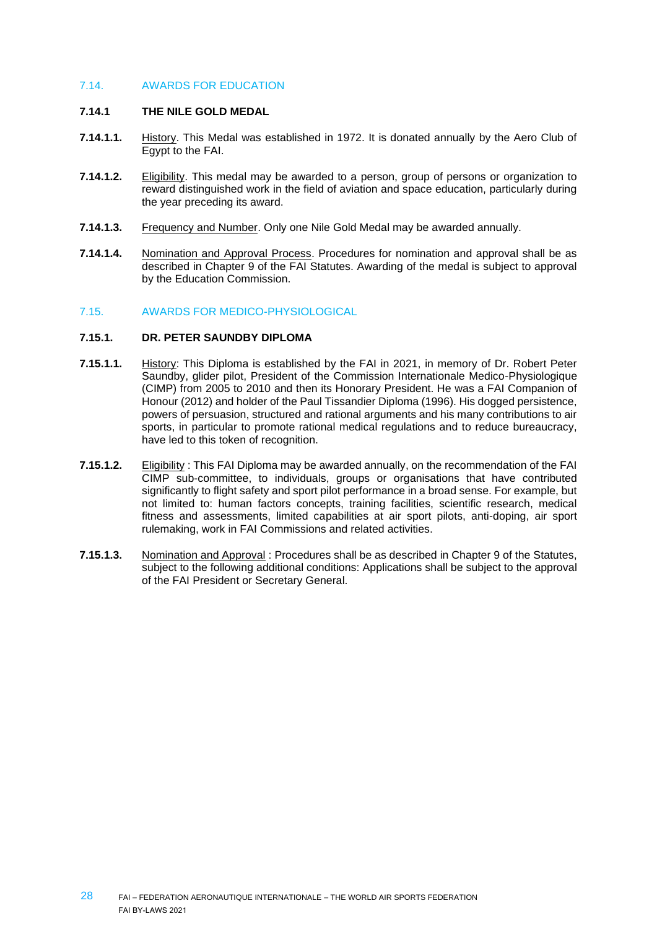# 7.14. AWARDS FOR EDUCATION

#### **7.14.1 THE NILE GOLD MEDAL**

- **7.14.1.1.** History. This Medal was established in 1972. It is donated annually by the Aero Club of Egypt to the FAI.
- **7.14.1.2.** Eligibility. This medal may be awarded to a person, group of persons or organization to reward distinguished work in the field of aviation and space education, particularly during the year preceding its award.
- **7.14.1.3.** Frequency and Number. Only one Nile Gold Medal may be awarded annually.
- **7.14.1.4.** Nomination and Approval Process. Procedures for nomination and approval shall be as described in Chapter 9 of the FAI Statutes. Awarding of the medal is subject to approval by the Education Commission.

#### 7.15. AWARDS FOR MEDICO-PHYSIOLOGICAL

#### **7.15.1. DR. PETER SAUNDBY DIPLOMA**

- **7.15.1.1.** History: This Diploma is established by the FAI in 2021, in memory of Dr. Robert Peter Saundby, glider pilot, President of the Commission Internationale Medico-Physiologique (CIMP) from 2005 to 2010 and then its Honorary President. He was a FAI Companion of Honour (2012) and holder of the Paul Tissandier Diploma (1996). His dogged persistence, powers of persuasion, structured and rational arguments and his many contributions to air sports, in particular to promote rational medical regulations and to reduce bureaucracy, have led to this token of recognition.
- **7.15.1.2.** Eligibility : This FAI Diploma may be awarded annually, on the recommendation of the FAI CIMP sub-committee, to individuals, groups or organisations that have contributed significantly to flight safety and sport pilot performance in a broad sense. For example, but not limited to: human factors concepts, training facilities, scientific research, medical fitness and assessments, limited capabilities at air sport pilots, anti-doping, air sport rulemaking, work in FAI Commissions and related activities.
- **7.15.1.3.** Nomination and Approval : Procedures shall be as described in Chapter 9 of the Statutes, subject to the following additional conditions: Applications shall be subject to the approval of the FAI President or Secretary General.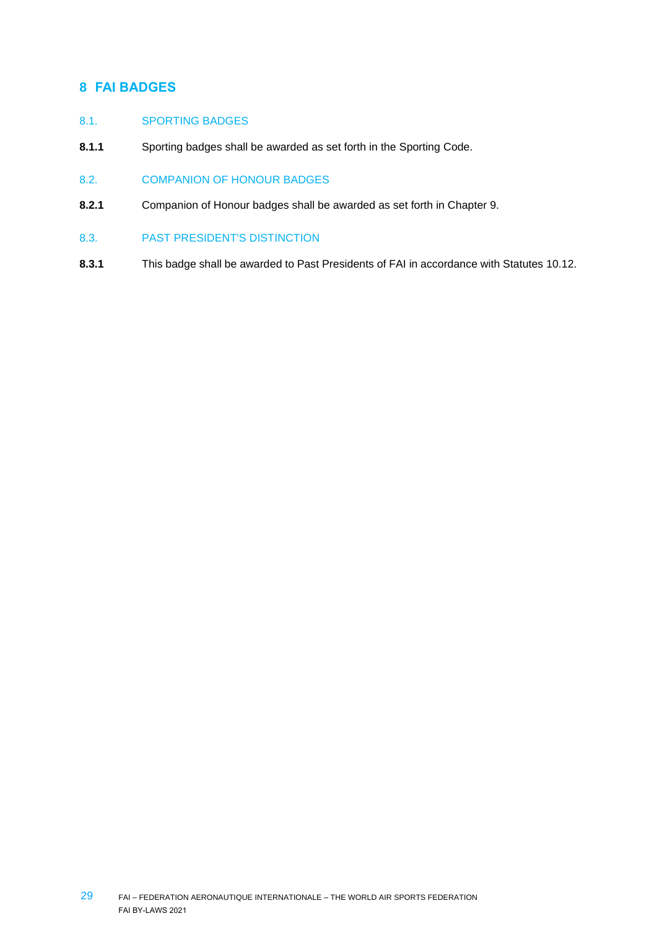# <span id="page-28-0"></span>**8 FAI BADGES**

# 8.1. SPORTING BADGES

- **8.1.1** Sporting badges shall be awarded as set forth in the Sporting Code.
- 8.2. COMPANION OF HONOUR BADGES
- **8.2.1** Companion of Honour badges shall be awarded as set forth in Chapter 9.
- 8.3. PAST PRESIDENT'S DISTINCTION
- **8.3.1** This badge shall be awarded to Past Presidents of FAI in accordance with Statutes 10.12.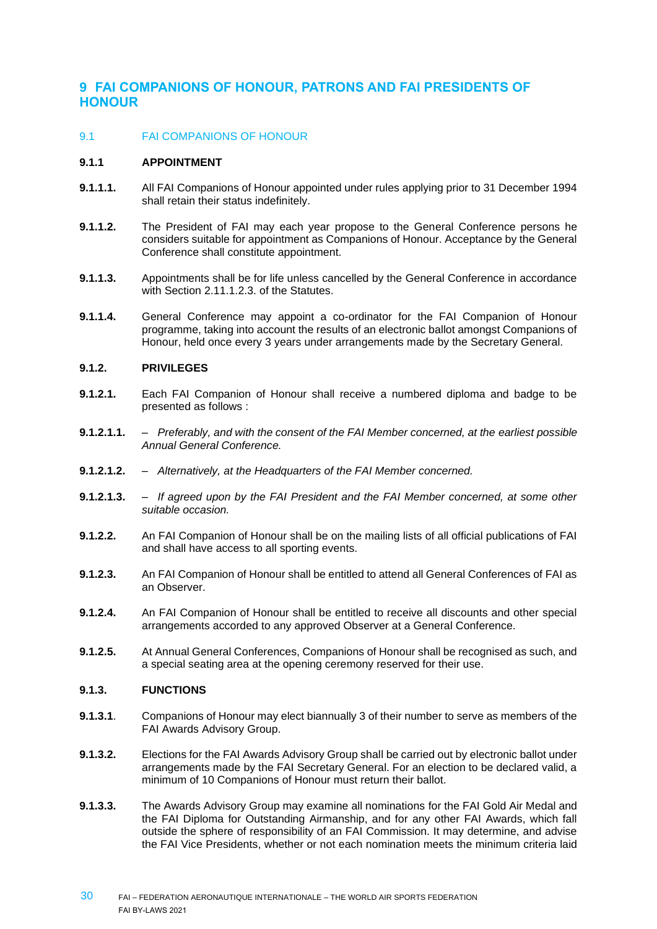# <span id="page-29-0"></span>**9 FAI COMPANIONS OF HONOUR, PATRONS AND FAI PRESIDENTS OF HONOUR**

# 9.1 FAI COMPANIONS OF HONOUR

#### **9.1.1 APPOINTMENT**

- **9.1.1.1.** All FAI Companions of Honour appointed under rules applying prior to 31 December 1994 shall retain their status indefinitely.
- **9.1.1.2.** The President of FAI may each year propose to the General Conference persons he considers suitable for appointment as Companions of Honour. Acceptance by the General Conference shall constitute appointment.
- **9.1.1.3.** Appointments shall be for life unless cancelled by the General Conference in accordance with Section 2.11.1.2.3. of the Statutes.
- **9.1.1.4.** General Conference may appoint a co-ordinator for the FAI Companion of Honour programme, taking into account the results of an electronic ballot amongst Companions of Honour, held once every 3 years under arrangements made by the Secretary General.

# **9.1.2. PRIVILEGES**

- **9.1.2.1.** Each FAI Companion of Honour shall receive a numbered diploma and badge to be presented as follows :
- **9.1.2.1.1.** *Preferably, and with the consent of the FAI Member concerned, at the earliest possible Annual General Conference.*
- **9.1.2.1.2.** *Alternatively, at the Headquarters of the FAI Member concerned.*
- **9.1.2.1.3.** *If agreed upon by the FAI President and the FAI Member concerned, at some other suitable occasion.*
- **9.1.2.2.** An FAI Companion of Honour shall be on the mailing lists of all official publications of FAI and shall have access to all sporting events.
- **9.1.2.3.** An FAI Companion of Honour shall be entitled to attend all General Conferences of FAI as an Observer.
- **9.1.2.4.** An FAI Companion of Honour shall be entitled to receive all discounts and other special arrangements accorded to any approved Observer at a General Conference.
- **9.1.2.5.** At Annual General Conferences, Companions of Honour shall be recognised as such, and a special seating area at the opening ceremony reserved for their use.

#### **9.1.3. FUNCTIONS**

- **9.1.3.1**. Companions of Honour may elect biannually 3 of their number to serve as members of the FAI Awards Advisory Group.
- **9.1.3.2.** Elections for the FAI Awards Advisory Group shall be carried out by electronic ballot under arrangements made by the FAI Secretary General. For an election to be declared valid, a minimum of 10 Companions of Honour must return their ballot.
- **9.1.3.3.** The Awards Advisory Group may examine all nominations for the FAI Gold Air Medal and the FAI Diploma for Outstanding Airmanship, and for any other FAI Awards, which fall outside the sphere of responsibility of an FAI Commission. It may determine, and advise the FAI Vice Presidents, whether or not each nomination meets the minimum criteria laid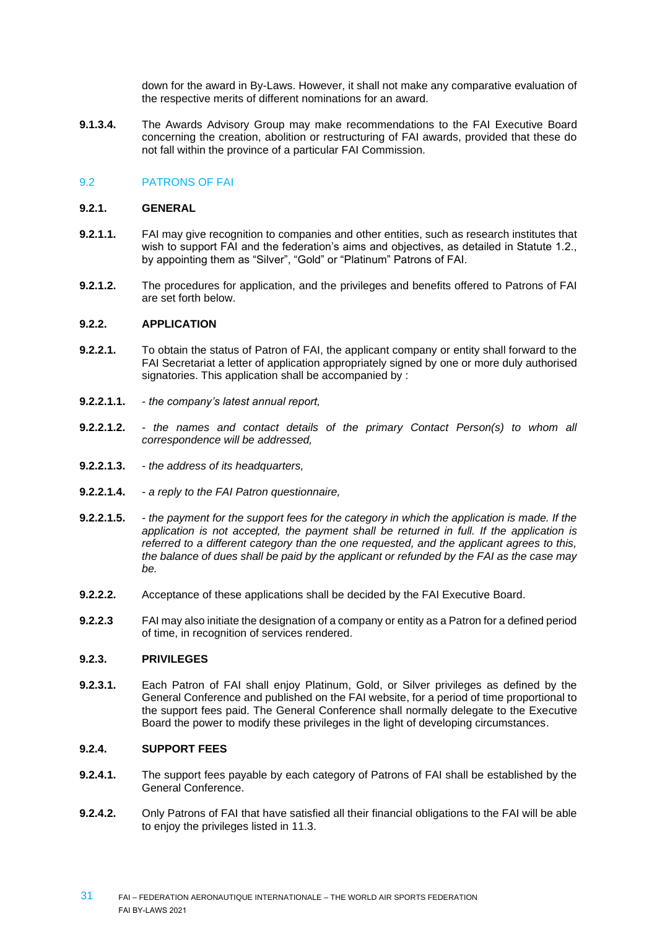down for the award in By-Laws. However, it shall not make any comparative evaluation of the respective merits of different nominations for an award.

**9.1.3.4.** The Awards Advisory Group may make recommendations to the FAI Executive Board concerning the creation, abolition or restructuring of FAI awards, provided that these do not fall within the province of a particular FAI Commission.

# 9.2 PATRONS OF FAI

#### **9.2.1. GENERAL**

- **9.2.1.1.** FAI may give recognition to companies and other entities, such as research institutes that wish to support FAI and the federation's aims and objectives, as detailed in Statute 1.2., by appointing them as "Silver", "Gold" or "Platinum" Patrons of FAI.
- **9.2.1.2.** The procedures for application, and the privileges and benefits offered to Patrons of FAI are set forth below.

#### **9.2.2. APPLICATION**

- **9.2.2.1.** To obtain the status of Patron of FAI, the applicant company or entity shall forward to the FAI Secretariat a letter of application appropriately signed by one or more duly authorised signatories. This application shall be accompanied by :
- **9.2.2.1.1.** *- the company's latest annual report,*
- **9.2.2.1.2.** *- the names and contact details of the primary Contact Person(s) to whom all correspondence will be addressed,*
- **9.2.2.1.3.** *- the address of its headquarters,*
- **9.2.2.1.4.** *- a reply to the FAI Patron questionnaire,*
- **9.2.2.1.5.** *- the payment for the support fees for the category in which the application is made. If the*  application is not accepted, the payment shall be returned in full. If the application is *referred to a different category than the one requested, and the applicant agrees to this, the balance of dues shall be paid by the applicant or refunded by the FAI as the case may be.*
- **9.2.2.2.** Acceptance of these applications shall be decided by the FAI Executive Board.
- **9.2.2.3** FAI may also initiate the designation of a company or entity as a Patron for a defined period of time, in recognition of services rendered.

#### **9.2.3. PRIVILEGES**

**9.2.3.1.** Each Patron of FAI shall enjoy Platinum, Gold, or Silver privileges as defined by the General Conference and published on the FAI website, for a period of time proportional to the support fees paid. The General Conference shall normally delegate to the Executive Board the power to modify these privileges in the light of developing circumstances.

# **9.2.4. SUPPORT FEES**

- **9.2.4.1.** The support fees payable by each category of Patrons of FAI shall be established by the General Conference.
- **9.2.4.2.** Only Patrons of FAI that have satisfied all their financial obligations to the FAI will be able to enjoy the privileges listed in 11.3.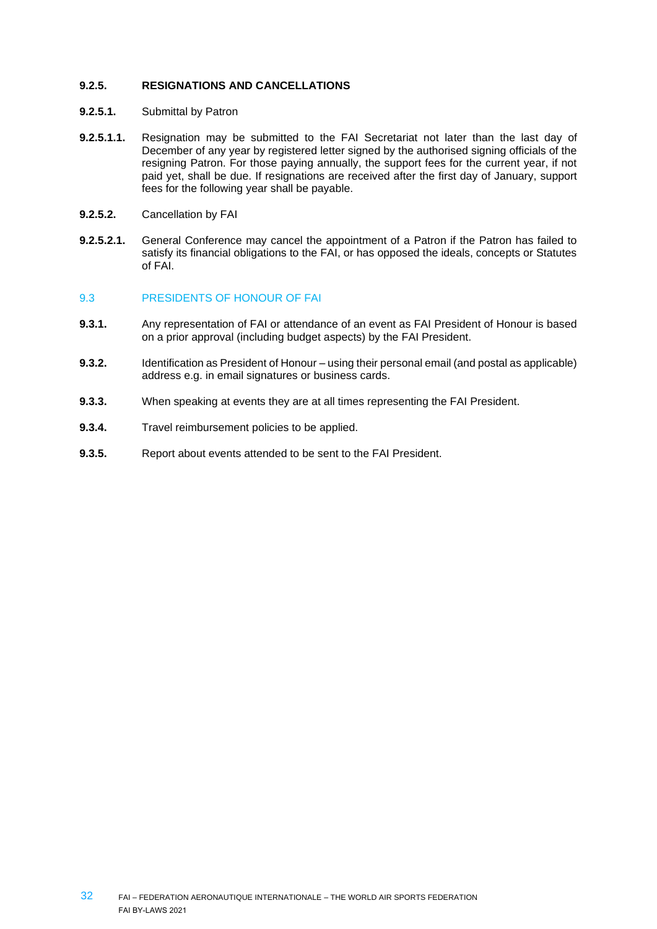# **9.2.5. RESIGNATIONS AND CANCELLATIONS**

- **9.2.5.1.** Submittal by Patron
- **9.2.5.1.1.** Resignation may be submitted to the FAI Secretariat not later than the last day of December of any year by registered letter signed by the authorised signing officials of the resigning Patron. For those paying annually, the support fees for the current year, if not paid yet, shall be due. If resignations are received after the first day of January, support fees for the following year shall be payable.
- **9.2.5.2.** Cancellation by FAI
- **9.2.5.2.1.** General Conference may cancel the appointment of a Patron if the Patron has failed to satisfy its financial obligations to the FAI, or has opposed the ideals, concepts or Statutes of FAI.

#### 9.3 PRESIDENTS OF HONOUR OF FAI

- **9.3.1.** Any representation of FAI or attendance of an event as FAI President of Honour is based on a prior approval (including budget aspects) by the FAI President.
- **9.3.2.** Identification as President of Honour using their personal email (and postal as applicable) address e.g. in email signatures or business cards.
- **9.3.3.** When speaking at events they are at all times representing the FAI President.
- **9.3.4.** Travel reimbursement policies to be applied.
- **9.3.5.** Report about events attended to be sent to the FAI President.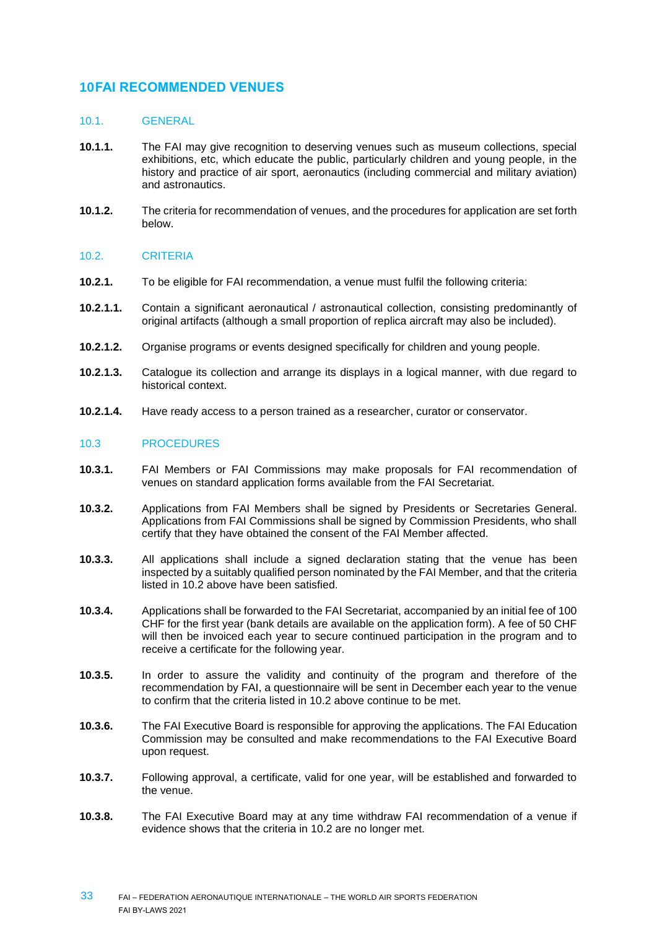# <span id="page-32-0"></span>**10FAI RECOMMENDED VENUES**

### 10.1. GENERAL

- **10.1.1.** The FAI may give recognition to deserving venues such as museum collections, special exhibitions, etc, which educate the public, particularly children and young people, in the history and practice of air sport, aeronautics (including commercial and military aviation) and astronautics.
- **10.1.2.** The criteria for recommendation of venues, and the procedures for application are set forth below.

#### 10.2. CRITERIA

- **10.2.1.** To be eligible for FAI recommendation, a venue must fulfil the following criteria:
- **10.2.1.1.** Contain a significant aeronautical / astronautical collection, consisting predominantly of original artifacts (although a small proportion of replica aircraft may also be included).
- **10.2.1.2.** Organise programs or events designed specifically for children and young people.
- **10.2.1.3.** Catalogue its collection and arrange its displays in a logical manner, with due regard to historical context.
- **10.2.1.4.** Have ready access to a person trained as a researcher, curator or conservator.

#### 10.3 PROCEDURES

- **10.3.1.** FAI Members or FAI Commissions may make proposals for FAI recommendation of venues on standard application forms available from the FAI Secretariat.
- **10.3.2.** Applications from FAI Members shall be signed by Presidents or Secretaries General. Applications from FAI Commissions shall be signed by Commission Presidents, who shall certify that they have obtained the consent of the FAI Member affected.
- **10.3.3.** All applications shall include a signed declaration stating that the venue has been inspected by a suitably qualified person nominated by the FAI Member, and that the criteria listed in 10.2 above have been satisfied.
- **10.3.4.** Applications shall be forwarded to the FAI Secretariat, accompanied by an initial fee of 100 CHF for the first year (bank details are available on the application form). A fee of 50 CHF will then be invoiced each year to secure continued participation in the program and to receive a certificate for the following year.
- **10.3.5.** In order to assure the validity and continuity of the program and therefore of the recommendation by FAI, a questionnaire will be sent in December each year to the venue to confirm that the criteria listed in 10.2 above continue to be met.
- **10.3.6.** The FAI Executive Board is responsible for approving the applications. The FAI Education Commission may be consulted and make recommendations to the FAI Executive Board upon request.
- **10.3.7.** Following approval, a certificate, valid for one year, will be established and forwarded to the venue.
- **10.3.8.** The FAI Executive Board may at any time withdraw FAI recommendation of a venue if evidence shows that the criteria in 10.2 are no longer met.